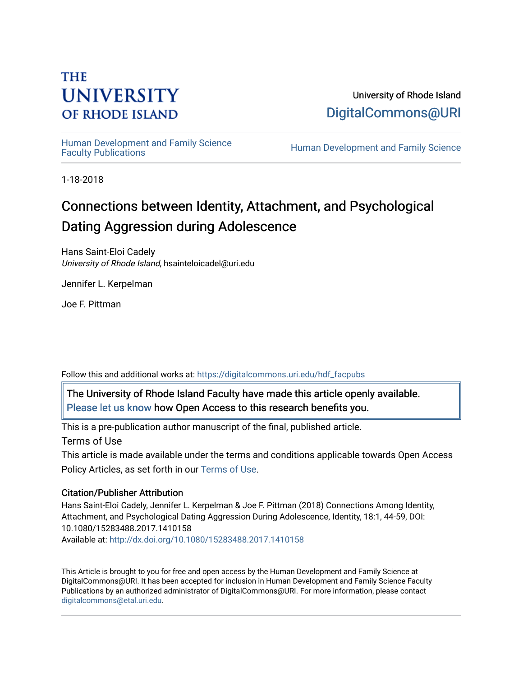# **THE UNIVERSITY OF RHODE ISLAND**

University of Rhode Island [DigitalCommons@URI](https://digitalcommons.uri.edu/) 

Human Development and Family Science<br>Faculty Publications

Human Development and Family Science

1-18-2018

# Connections between Identity, Attachment, and Psychological Dating Aggression during Adolescence

Hans Saint-Eloi Cadely University of Rhode Island, hsainteloicadel@uri.edu

Jennifer L. Kerpelman

Joe F. Pittman

Follow this and additional works at: [https://digitalcommons.uri.edu/hdf\\_facpubs](https://digitalcommons.uri.edu/hdf_facpubs?utm_source=digitalcommons.uri.edu%2Fhdf_facpubs%2F30&utm_medium=PDF&utm_campaign=PDFCoverPages) 

The University of Rhode Island Faculty have made this article openly available. [Please let us know](http://web.uri.edu/library-digital-initiatives/open-access-online-form/) how Open Access to this research benefits you.

This is a pre-publication author manuscript of the final, published article.

Terms of Use

This article is made available under the terms and conditions applicable towards Open Access Policy Articles, as set forth in our [Terms of Use](https://digitalcommons.uri.edu/hdf_facpubs/oa_policy_terms.html).

## Citation/Publisher Attribution

Hans Saint-Eloi Cadely, Jennifer L. Kerpelman & Joe F. Pittman (2018) Connections Among Identity, Attachment, and Psychological Dating Aggression During Adolescence, Identity, 18:1, 44-59, DOI: 10.1080/15283488.2017.1410158 Available at:<http://dx.doi.org/10.1080/15283488.2017.1410158>

This Article is brought to you for free and open access by the Human Development and Family Science at DigitalCommons@URI. It has been accepted for inclusion in Human Development and Family Science Faculty Publications by an authorized administrator of DigitalCommons@URI. For more information, please contact [digitalcommons@etal.uri.edu](mailto:digitalcommons@etal.uri.edu).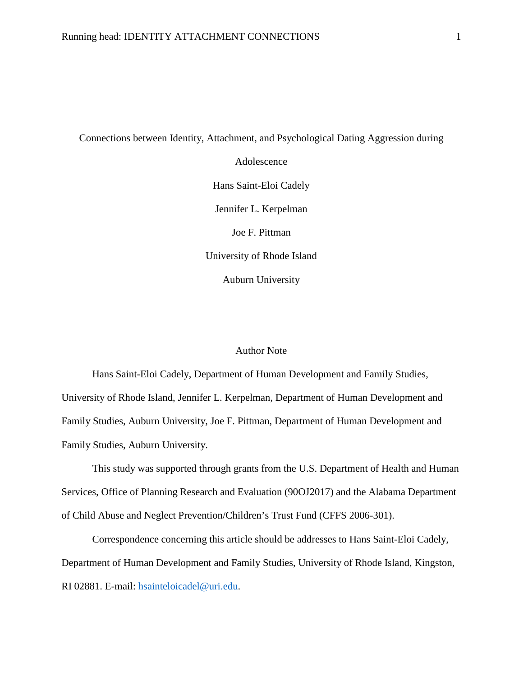Connections between Identity, Attachment, and Psychological Dating Aggression during

Adolescence Hans Saint-Eloi Cadely Jennifer L. Kerpelman Joe F. Pittman University of Rhode Island Auburn University

#### Author Note

Hans Saint-Eloi Cadely, Department of Human Development and Family Studies, University of Rhode Island, Jennifer L. Kerpelman, Department of Human Development and Family Studies, Auburn University, Joe F. Pittman, Department of Human Development and Family Studies, Auburn University.

This study was supported through grants from the U.S. Department of Health and Human Services, Office of Planning Research and Evaluation (90OJ2017) and the Alabama Department of Child Abuse and Neglect Prevention/Children's Trust Fund (CFFS 2006-301).

Correspondence concerning this article should be addresses to Hans Saint-Eloi Cadely, Department of Human Development and Family Studies, University of Rhode Island, Kingston, RI 02881. E-mail: [hsainteloicadel@uri.edu.](mailto:hsainteloicadel@uri.edu)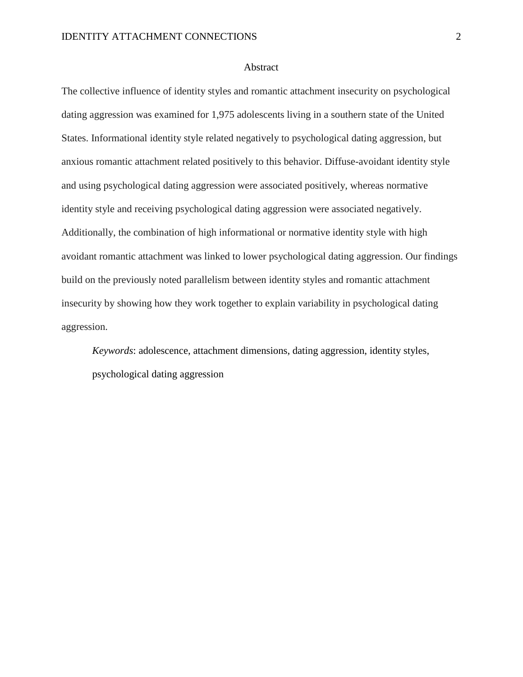#### Abstract

The collective influence of identity styles and romantic attachment insecurity on psychological dating aggression was examined for 1,975 adolescents living in a southern state of the United States. Informational identity style related negatively to psychological dating aggression, but anxious romantic attachment related positively to this behavior. Diffuse-avoidant identity style and using psychological dating aggression were associated positively, whereas normative identity style and receiving psychological dating aggression were associated negatively. Additionally, the combination of high informational or normative identity style with high avoidant romantic attachment was linked to lower psychological dating aggression. Our findings build on the previously noted parallelism between identity styles and romantic attachment insecurity by showing how they work together to explain variability in psychological dating aggression.

*Keywords*: adolescence, attachment dimensions, dating aggression, identity styles, psychological dating aggression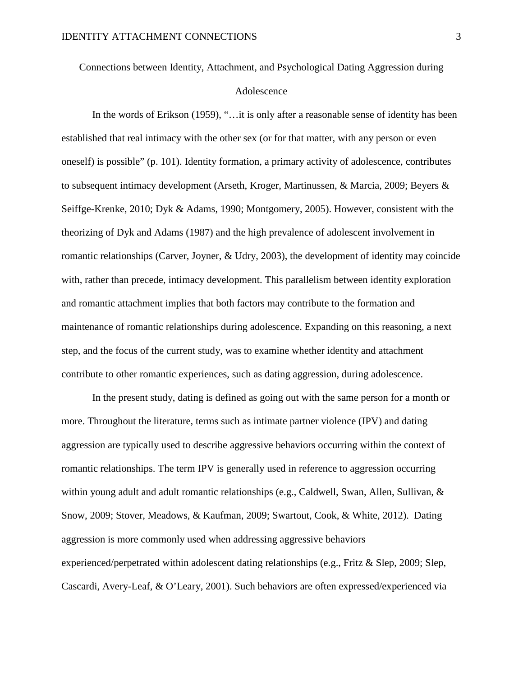Connections between Identity, Attachment, and Psychological Dating Aggression during Adolescence

In the words of Erikson (1959), "... it is only after a reasonable sense of identity has been established that real intimacy with the other sex (or for that matter, with any person or even oneself) is possible" (p. 101). Identity formation, a primary activity of adolescence, contributes to subsequent intimacy development (Arseth, Kroger, Martinussen, & Marcia, 2009; Beyers & Seiffge-Krenke, 2010; Dyk & Adams, 1990; Montgomery, 2005). However, consistent with the theorizing of Dyk and Adams (1987) and the high prevalence of adolescent involvement in romantic relationships (Carver, Joyner, & Udry, 2003), the development of identity may coincide with, rather than precede, intimacy development. This parallelism between identity exploration and romantic attachment implies that both factors may contribute to the formation and maintenance of romantic relationships during adolescence. Expanding on this reasoning, a next step, and the focus of the current study, was to examine whether identity and attachment contribute to other romantic experiences, such as dating aggression, during adolescence.

In the present study, dating is defined as going out with the same person for a month or more. Throughout the literature, terms such as intimate partner violence (IPV) and dating aggression are typically used to describe aggressive behaviors occurring within the context of romantic relationships. The term IPV is generally used in reference to aggression occurring within young adult and adult romantic relationships (e.g., Caldwell, Swan, Allen, Sullivan, & Snow, 2009; Stover, Meadows, & Kaufman, 2009; Swartout, Cook, & White, 2012). Dating aggression is more commonly used when addressing aggressive behaviors experienced/perpetrated within adolescent dating relationships (e.g., Fritz & Slep, 2009; Slep, Cascardi, Avery-Leaf, & O'Leary, 2001). Such behaviors are often expressed/experienced via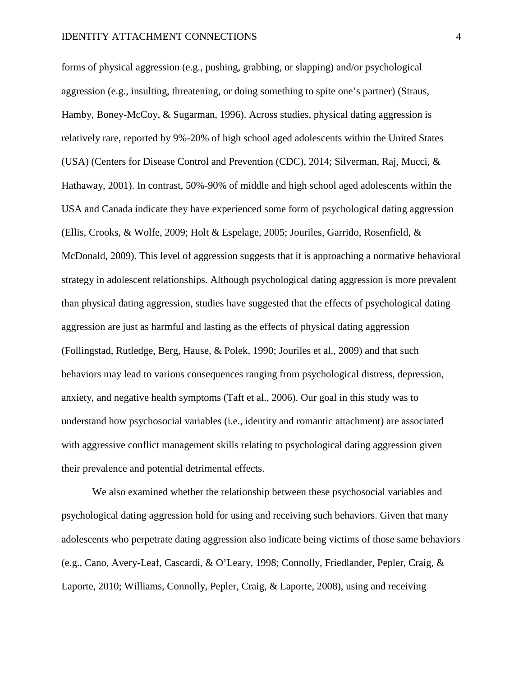forms of physical aggression (e.g., pushing, grabbing, or slapping) and/or psychological aggression (e.g., insulting, threatening, or doing something to spite one's partner) (Straus, Hamby, Boney-McCoy, & Sugarman, 1996). Across studies, physical dating aggression is relatively rare, reported by 9%-20% of high school aged adolescents within the United States (USA) (Centers for Disease Control and Prevention (CDC), 2014; Silverman, Raj, Mucci, & Hathaway, 2001). In contrast, 50%-90% of middle and high school aged adolescents within the USA and Canada indicate they have experienced some form of psychological dating aggression (Ellis, Crooks, & Wolfe, 2009; Holt & Espelage, 2005; Jouriles, Garrido, Rosenfield, & McDonald, 2009). This level of aggression suggests that it is approaching a normative behavioral strategy in adolescent relationships. Although psychological dating aggression is more prevalent than physical dating aggression, studies have suggested that the effects of psychological dating aggression are just as harmful and lasting as the effects of physical dating aggression (Follingstad, Rutledge, Berg, Hause, & Polek, 1990; Jouriles et al., 2009) and that such behaviors may lead to various consequences ranging from psychological distress, depression, anxiety, and negative health symptoms (Taft et al., 2006). Our goal in this study was to understand how psychosocial variables (i.e., identity and romantic attachment) are associated with aggressive conflict management skills relating to psychological dating aggression given their prevalence and potential detrimental effects.

We also examined whether the relationship between these psychosocial variables and psychological dating aggression hold for using and receiving such behaviors. Given that many adolescents who perpetrate dating aggression also indicate being victims of those same behaviors (e.g., Cano, Avery-Leaf, Cascardi, & O'Leary, 1998; Connolly, Friedlander, Pepler, Craig, & Laporte, 2010; Williams, Connolly, Pepler, Craig, & Laporte, 2008), using and receiving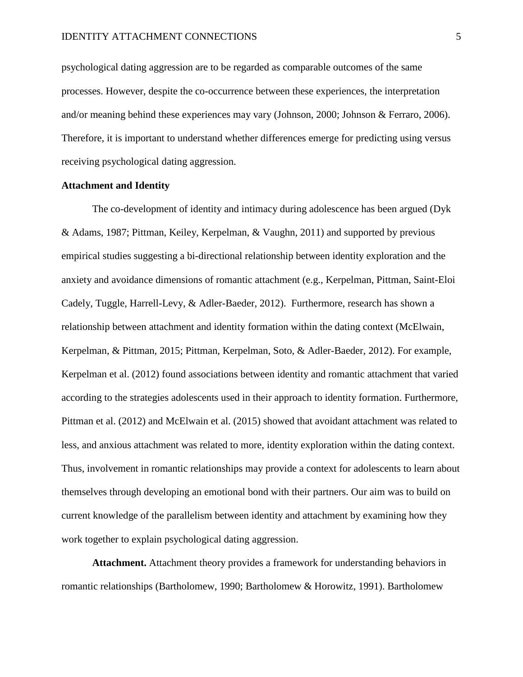psychological dating aggression are to be regarded as comparable outcomes of the same processes. However, despite the co-occurrence between these experiences, the interpretation and/or meaning behind these experiences may vary (Johnson, 2000; Johnson & Ferraro, 2006). Therefore, it is important to understand whether differences emerge for predicting using versus receiving psychological dating aggression.

#### **Attachment and Identity**

The co-development of identity and intimacy during adolescence has been argued (Dyk & Adams, 1987; Pittman, Keiley, Kerpelman, & Vaughn, 2011) and supported by previous empirical studies suggesting a bi-directional relationship between identity exploration and the anxiety and avoidance dimensions of romantic attachment (e.g., Kerpelman, Pittman, Saint-Eloi Cadely, Tuggle, Harrell-Levy, & Adler-Baeder, 2012). Furthermore, research has shown a relationship between attachment and identity formation within the dating context (McElwain, Kerpelman, & Pittman, 2015; Pittman, Kerpelman, Soto, & Adler-Baeder, 2012). For example, Kerpelman et al. (2012) found associations between identity and romantic attachment that varied according to the strategies adolescents used in their approach to identity formation. Furthermore, Pittman et al. (2012) and McElwain et al. (2015) showed that avoidant attachment was related to less, and anxious attachment was related to more, identity exploration within the dating context. Thus, involvement in romantic relationships may provide a context for adolescents to learn about themselves through developing an emotional bond with their partners. Our aim was to build on current knowledge of the parallelism between identity and attachment by examining how they work together to explain psychological dating aggression.

**Attachment.** Attachment theory provides a framework for understanding behaviors in romantic relationships (Bartholomew, 1990; Bartholomew & Horowitz, 1991). Bartholomew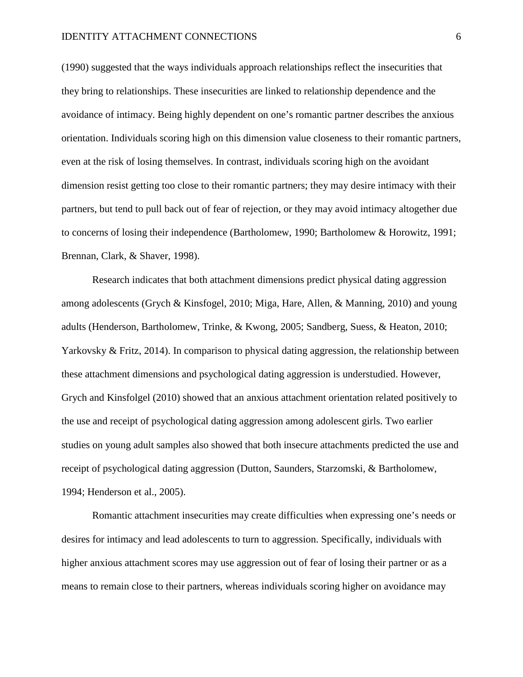#### IDENTITY ATTACHMENT CONNECTIONS 6

(1990) suggested that the ways individuals approach relationships reflect the insecurities that they bring to relationships. These insecurities are linked to relationship dependence and the avoidance of intimacy. Being highly dependent on one's romantic partner describes the anxious orientation. Individuals scoring high on this dimension value closeness to their romantic partners, even at the risk of losing themselves. In contrast, individuals scoring high on the avoidant dimension resist getting too close to their romantic partners; they may desire intimacy with their partners, but tend to pull back out of fear of rejection, or they may avoid intimacy altogether due to concerns of losing their independence (Bartholomew, 1990; Bartholomew & Horowitz, 1991; Brennan, Clark, & Shaver, 1998).

Research indicates that both attachment dimensions predict physical dating aggression among adolescents (Grych & Kinsfogel, 2010; Miga, Hare, Allen, & Manning, 2010) and young adults (Henderson, Bartholomew, Trinke, & Kwong, 2005; Sandberg, Suess, & Heaton, 2010; Yarkovsky & Fritz, 2014). In comparison to physical dating aggression, the relationship between these attachment dimensions and psychological dating aggression is understudied. However, Grych and Kinsfolgel (2010) showed that an anxious attachment orientation related positively to the use and receipt of psychological dating aggression among adolescent girls. Two earlier studies on young adult samples also showed that both insecure attachments predicted the use and receipt of psychological dating aggression (Dutton, Saunders, Starzomski, & Bartholomew, 1994; Henderson et al., 2005).

Romantic attachment insecurities may create difficulties when expressing one's needs or desires for intimacy and lead adolescents to turn to aggression. Specifically, individuals with higher anxious attachment scores may use aggression out of fear of losing their partner or as a means to remain close to their partners, whereas individuals scoring higher on avoidance may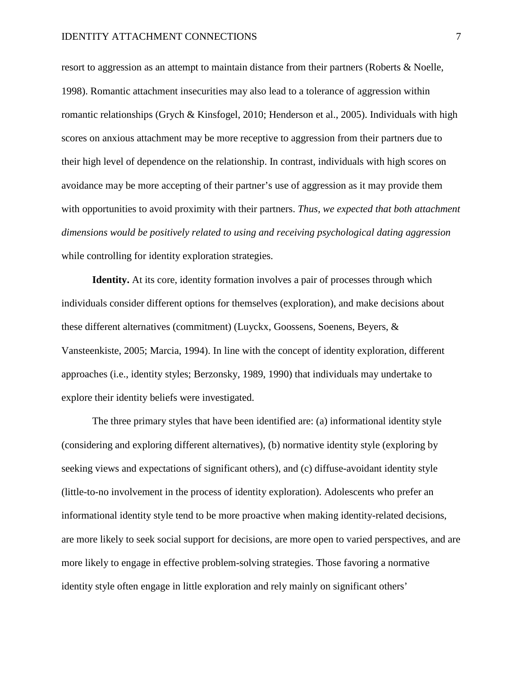resort to aggression as an attempt to maintain distance from their partners (Roberts & Noelle, 1998). Romantic attachment insecurities may also lead to a tolerance of aggression within romantic relationships (Grych & Kinsfogel, 2010; Henderson et al., 2005). Individuals with high scores on anxious attachment may be more receptive to aggression from their partners due to their high level of dependence on the relationship. In contrast, individuals with high scores on avoidance may be more accepting of their partner's use of aggression as it may provide them with opportunities to avoid proximity with their partners. *Thus, we expected that both attachment dimensions would be positively related to using and receiving psychological dating aggression* while controlling for identity exploration strategies.

**Identity.** At its core, identity formation involves a pair of processes through which individuals consider different options for themselves (exploration), and make decisions about these different alternatives (commitment) (Luyckx, Goossens, Soenens, Beyers, & Vansteenkiste, 2005; Marcia, 1994). In line with the concept of identity exploration, different approaches (i.e., identity styles; Berzonsky, 1989, 1990) that individuals may undertake to explore their identity beliefs were investigated.

The three primary styles that have been identified are: (a) informational identity style (considering and exploring different alternatives), (b) normative identity style (exploring by seeking views and expectations of significant others), and (c) diffuse-avoidant identity style (little-to-no involvement in the process of identity exploration). Adolescents who prefer an informational identity style tend to be more proactive when making identity-related decisions, are more likely to seek social support for decisions, are more open to varied perspectives, and are more likely to engage in effective problem-solving strategies. Those favoring a normative identity style often engage in little exploration and rely mainly on significant others'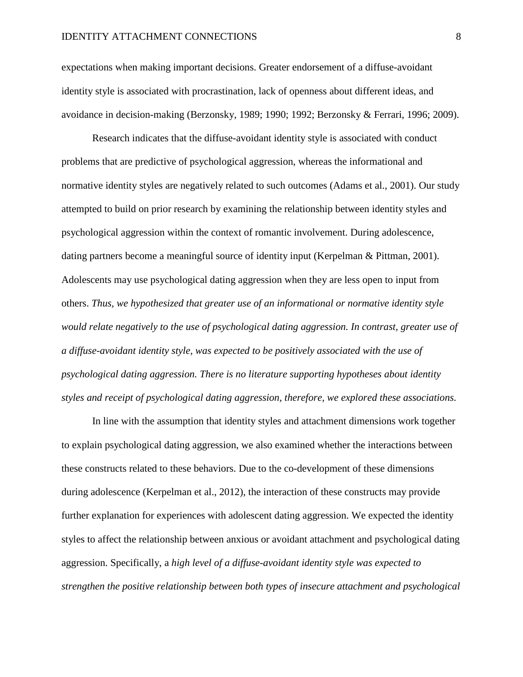expectations when making important decisions. Greater endorsement of a diffuse-avoidant identity style is associated with procrastination, lack of openness about different ideas, and avoidance in decision-making (Berzonsky, 1989; 1990; 1992; Berzonsky & Ferrari, 1996; 2009).

Research indicates that the diffuse-avoidant identity style is associated with conduct problems that are predictive of psychological aggression, whereas the informational and normative identity styles are negatively related to such outcomes (Adams et al., 2001). Our study attempted to build on prior research by examining the relationship between identity styles and psychological aggression within the context of romantic involvement. During adolescence, dating partners become a meaningful source of identity input (Kerpelman & Pittman, 2001). Adolescents may use psychological dating aggression when they are less open to input from others. *Thus, we hypothesized that greater use of an informational or normative identity style would relate negatively to the use of psychological dating aggression. In contrast, greater use of a diffuse-avoidant identity style, was expected to be positively associated with the use of psychological dating aggression. There is no literature supporting hypotheses about identity styles and receipt of psychological dating aggression, therefore, we explored these associations.*

In line with the assumption that identity styles and attachment dimensions work together to explain psychological dating aggression, we also examined whether the interactions between these constructs related to these behaviors. Due to the co-development of these dimensions during adolescence (Kerpelman et al., 2012), the interaction of these constructs may provide further explanation for experiences with adolescent dating aggression. We expected the identity styles to affect the relationship between anxious or avoidant attachment and psychological dating aggression. Specifically, a *high level of a diffuse-avoidant identity style was expected to strengthen the positive relationship between both types of insecure attachment and psychological*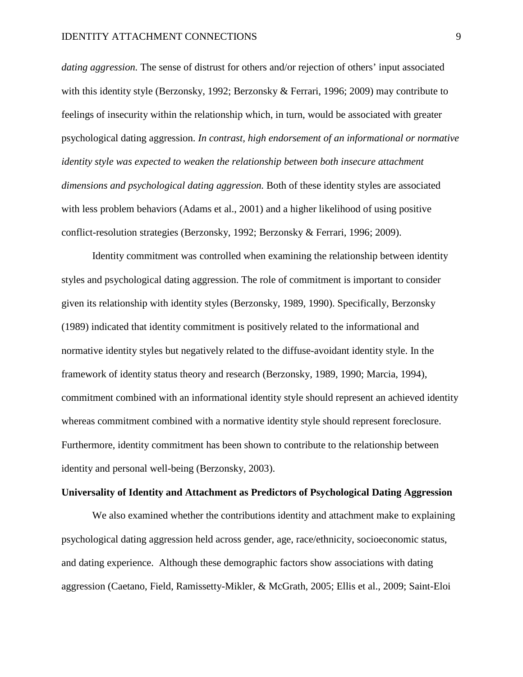*dating aggression.* The sense of distrust for others and/or rejection of others' input associated with this identity style (Berzonsky, 1992; Berzonsky & Ferrari, 1996; 2009) may contribute to feelings of insecurity within the relationship which, in turn, would be associated with greater psychological dating aggression. *In contrast, high endorsement of an informational or normative identity style was expected to weaken the relationship between both insecure attachment dimensions and psychological dating aggression.* Both of these identity styles are associated with less problem behaviors (Adams et al., 2001) and a higher likelihood of using positive conflict-resolution strategies (Berzonsky, 1992; Berzonsky & Ferrari, 1996; 2009).

Identity commitment was controlled when examining the relationship between identity styles and psychological dating aggression. The role of commitment is important to consider given its relationship with identity styles (Berzonsky, 1989, 1990). Specifically, Berzonsky (1989) indicated that identity commitment is positively related to the informational and normative identity styles but negatively related to the diffuse-avoidant identity style. In the framework of identity status theory and research (Berzonsky, 1989, 1990; Marcia, 1994), commitment combined with an informational identity style should represent an achieved identity whereas commitment combined with a normative identity style should represent foreclosure. Furthermore, identity commitment has been shown to contribute to the relationship between identity and personal well-being (Berzonsky, 2003).

#### **Universality of Identity and Attachment as Predictors of Psychological Dating Aggression**

We also examined whether the contributions identity and attachment make to explaining psychological dating aggression held across gender, age, race/ethnicity, socioeconomic status, and dating experience. Although these demographic factors show associations with dating aggression (Caetano, Field, Ramissetty-Mikler, & McGrath, 2005; Ellis et al., 2009; Saint-Eloi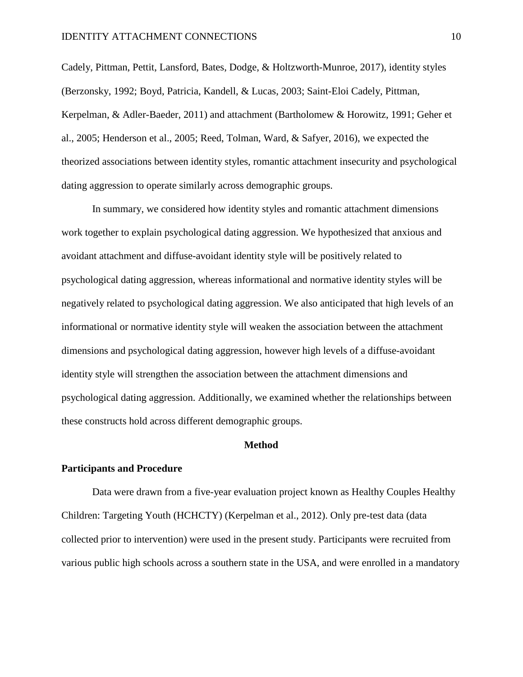Cadely, Pittman, Pettit, Lansford, Bates, Dodge, & Holtzworth-Munroe, 2017), identity styles (Berzonsky, 1992; Boyd, Patricia, Kandell, & Lucas, 2003; Saint-Eloi Cadely, Pittman, Kerpelman, & Adler-Baeder, 2011) and attachment (Bartholomew & Horowitz, 1991; Geher et al., 2005; Henderson et al., 2005; Reed, Tolman, Ward, & Safyer, 2016), we expected the theorized associations between identity styles, romantic attachment insecurity and psychological dating aggression to operate similarly across demographic groups.

In summary, we considered how identity styles and romantic attachment dimensions work together to explain psychological dating aggression. We hypothesized that anxious and avoidant attachment and diffuse-avoidant identity style will be positively related to psychological dating aggression, whereas informational and normative identity styles will be negatively related to psychological dating aggression. We also anticipated that high levels of an informational or normative identity style will weaken the association between the attachment dimensions and psychological dating aggression, however high levels of a diffuse-avoidant identity style will strengthen the association between the attachment dimensions and psychological dating aggression. Additionally, we examined whether the relationships between these constructs hold across different demographic groups.

#### **Method**

#### **Participants and Procedure**

Data were drawn from a five-year evaluation project known as Healthy Couples Healthy Children: Targeting Youth (HCHCTY) (Kerpelman et al., 2012). Only pre-test data (data collected prior to intervention) were used in the present study. Participants were recruited from various public high schools across a southern state in the USA, and were enrolled in a mandatory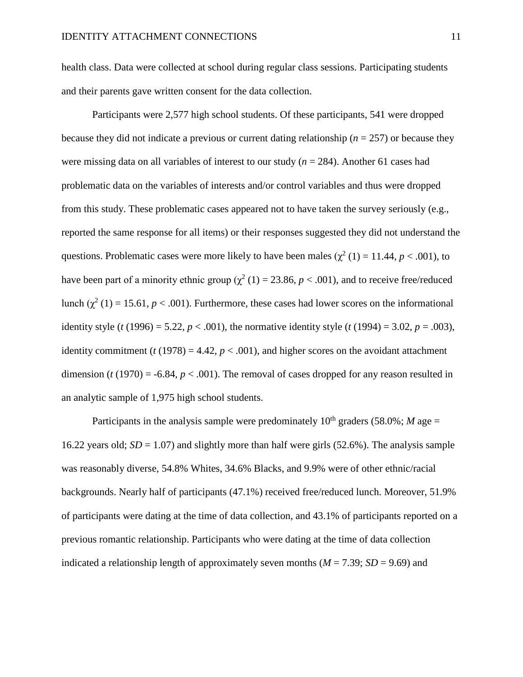health class. Data were collected at school during regular class sessions. Participating students and their parents gave written consent for the data collection.

Participants were 2,577 high school students. Of these participants, 541 were dropped because they did not indicate a previous or current dating relationship ( $n = 257$ ) or because they were missing data on all variables of interest to our study (*n* = 284). Another 61 cases had problematic data on the variables of interests and/or control variables and thus were dropped from this study. These problematic cases appeared not to have taken the survey seriously (e.g., reported the same response for all items) or their responses suggested they did not understand the questions. Problematic cases were more likely to have been males ( $\chi^2$  (1) = 11.44, *p* < .001), to have been part of a minority ethnic group ( $\chi^2$  (1) = 23.86, *p* < .001), and to receive free/reduced lunch ( $\chi^2$  (1) = 15.61, *p* < .001). Furthermore, these cases had lower scores on the informational identity style (*t* (1996) = 5.22, *p* < .001), the normative identity style (*t* (1994) = 3.02, *p* = .003), identity commitment  $(t (1978) = 4.42, p < .001)$ , and higher scores on the avoidant attachment dimension ( $t(1970) = -6.84$ ,  $p < .001$ ). The removal of cases dropped for any reason resulted in an analytic sample of 1,975 high school students.

Participants in the analysis sample were predominately  $10^{th}$  graders (58.0%; *M* age = 16.22 years old; *SD* = 1.07) and slightly more than half were girls (52.6%). The analysis sample was reasonably diverse, 54.8% Whites, 34.6% Blacks, and 9.9% were of other ethnic/racial backgrounds. Nearly half of participants (47.1%) received free/reduced lunch. Moreover, 51.9% of participants were dating at the time of data collection, and 43.1% of participants reported on a previous romantic relationship. Participants who were dating at the time of data collection indicated a relationship length of approximately seven months ( $M = 7.39$ ;  $SD = 9.69$ ) and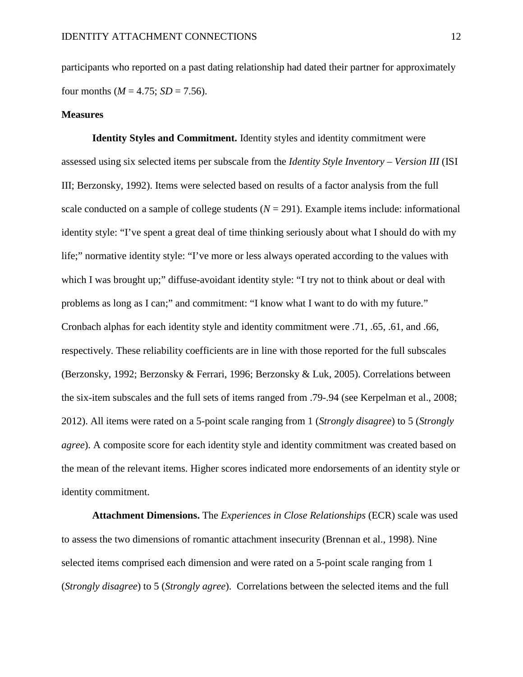participants who reported on a past dating relationship had dated their partner for approximately four months ( $M = 4.75$ ;  $SD = 7.56$ ).

#### **Measures**

**Identity Styles and Commitment.** Identity styles and identity commitment were assessed using six selected items per subscale from the *Identity Style Inventory – Version III* (ISI III; Berzonsky, 1992). Items were selected based on results of a factor analysis from the full scale conducted on a sample of college students  $(N = 291)$ . Example items include: informational identity style: "I've spent a great deal of time thinking seriously about what I should do with my life;" normative identity style: "I've more or less always operated according to the values with which I was brought up;" diffuse-avoidant identity style: "I try not to think about or deal with problems as long as I can;" and commitment: "I know what I want to do with my future." Cronbach alphas for each identity style and identity commitment were .71, .65, .61, and .66, respectively. These reliability coefficients are in line with those reported for the full subscales (Berzonsky, 1992; Berzonsky & Ferrari, 1996; Berzonsky & Luk, 2005). Correlations between the six-item subscales and the full sets of items ranged from .79-.94 (see Kerpelman et al., 2008; 2012). All items were rated on a 5-point scale ranging from 1 (*Strongly disagree*) to 5 (*Strongly agree*). A composite score for each identity style and identity commitment was created based on the mean of the relevant items. Higher scores indicated more endorsements of an identity style or identity commitment.

**Attachment Dimensions.** The *Experiences in Close Relationships* (ECR) scale was used to assess the two dimensions of romantic attachment insecurity (Brennan et al., 1998). Nine selected items comprised each dimension and were rated on a 5-point scale ranging from 1 (*Strongly disagree*) to 5 (*Strongly agree*). Correlations between the selected items and the full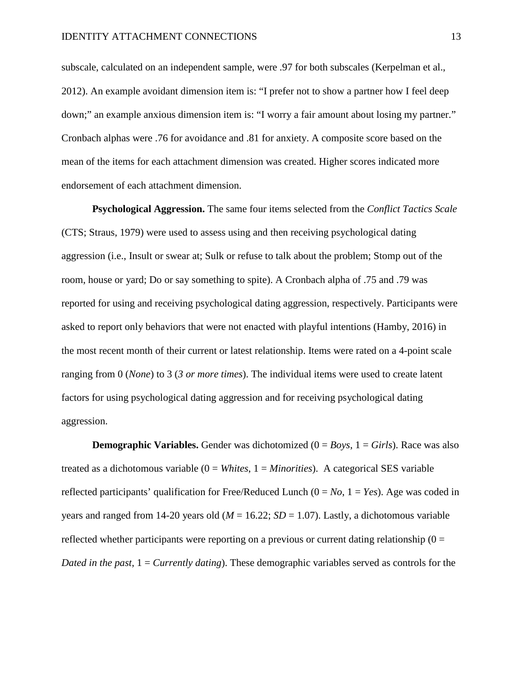subscale, calculated on an independent sample, were .97 for both subscales (Kerpelman et al., 2012). An example avoidant dimension item is: "I prefer not to show a partner how I feel deep down;" an example anxious dimension item is: "I worry a fair amount about losing my partner." Cronbach alphas were .76 for avoidance and .81 for anxiety. A composite score based on the mean of the items for each attachment dimension was created. Higher scores indicated more endorsement of each attachment dimension.

**Psychological Aggression.** The same four items selected from the *Conflict Tactics Scale* (CTS; Straus, 1979) were used to assess using and then receiving psychological dating aggression (i.e., Insult or swear at; Sulk or refuse to talk about the problem; Stomp out of the room, house or yard; Do or say something to spite). A Cronbach alpha of .75 and .79 was reported for using and receiving psychological dating aggression, respectively. Participants were asked to report only behaviors that were not enacted with playful intentions (Hamby, 2016) in the most recent month of their current or latest relationship. Items were rated on a 4-point scale ranging from 0 (*None*) to 3 (*3 or more times*). The individual items were used to create latent factors for using psychological dating aggression and for receiving psychological dating aggression.

**Demographic Variables.** Gender was dichotomized  $(0 = Boys, 1 = Girls)$ . Race was also treated as a dichotomous variable (0 = *Whites*, 1 = *Minorities*). A categorical SES variable reflected participants' qualification for Free/Reduced Lunch (0 = *No*, 1 = *Yes*). Age was coded in years and ranged from 14-20 years old  $(M = 16.22; SD = 1.07)$ . Lastly, a dichotomous variable reflected whether participants were reporting on a previous or current dating relationship  $(0 =$ *Dated in the past*,  $1 =$  *Currently dating*). These demographic variables served as controls for the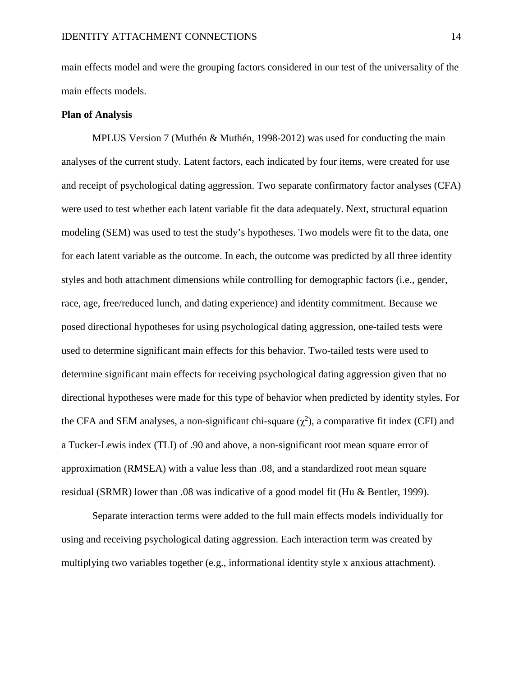main effects model and were the grouping factors considered in our test of the universality of the main effects models.

#### **Plan of Analysis**

MPLUS Version 7 (Muthén & Muthén, 1998-2012) was used for conducting the main analyses of the current study. Latent factors, each indicated by four items, were created for use and receipt of psychological dating aggression. Two separate confirmatory factor analyses (CFA) were used to test whether each latent variable fit the data adequately. Next, structural equation modeling (SEM) was used to test the study's hypotheses. Two models were fit to the data, one for each latent variable as the outcome. In each, the outcome was predicted by all three identity styles and both attachment dimensions while controlling for demographic factors (i.e., gender, race, age, free/reduced lunch, and dating experience) and identity commitment. Because we posed directional hypotheses for using psychological dating aggression, one-tailed tests were used to determine significant main effects for this behavior. Two-tailed tests were used to determine significant main effects for receiving psychological dating aggression given that no directional hypotheses were made for this type of behavior when predicted by identity styles. For the CFA and SEM analyses, a non-significant chi-square  $(\chi^2)$ , a comparative fit index (CFI) and a Tucker-Lewis index (TLI) of .90 and above, a non-significant root mean square error of approximation (RMSEA) with a value less than .08, and a standardized root mean square residual (SRMR) lower than .08 was indicative of a good model fit (Hu & Bentler, 1999).

Separate interaction terms were added to the full main effects models individually for using and receiving psychological dating aggression. Each interaction term was created by multiplying two variables together (e.g., informational identity style x anxious attachment).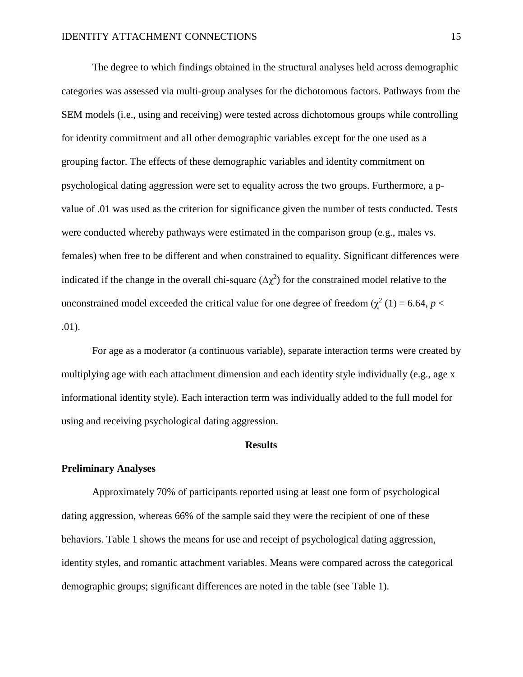The degree to which findings obtained in the structural analyses held across demographic categories was assessed via multi-group analyses for the dichotomous factors. Pathways from the SEM models (i.e., using and receiving) were tested across dichotomous groups while controlling for identity commitment and all other demographic variables except for the one used as a grouping factor. The effects of these demographic variables and identity commitment on psychological dating aggression were set to equality across the two groups. Furthermore, a pvalue of .01 was used as the criterion for significance given the number of tests conducted. Tests were conducted whereby pathways were estimated in the comparison group (e.g., males vs. females) when free to be different and when constrained to equality. Significant differences were indicated if the change in the overall chi-square ( $\Delta \chi^2$ ) for the constrained model relative to the unconstrained model exceeded the critical value for one degree of freedom ( $\chi^2$  (1) = 6.64, *p* < .01).

For age as a moderator (a continuous variable), separate interaction terms were created by multiplying age with each attachment dimension and each identity style individually (e.g., age x informational identity style). Each interaction term was individually added to the full model for using and receiving psychological dating aggression.

#### **Results**

#### **Preliminary Analyses**

Approximately 70% of participants reported using at least one form of psychological dating aggression, whereas 66% of the sample said they were the recipient of one of these behaviors. Table 1 shows the means for use and receipt of psychological dating aggression, identity styles, and romantic attachment variables. Means were compared across the categorical demographic groups; significant differences are noted in the table (see Table 1).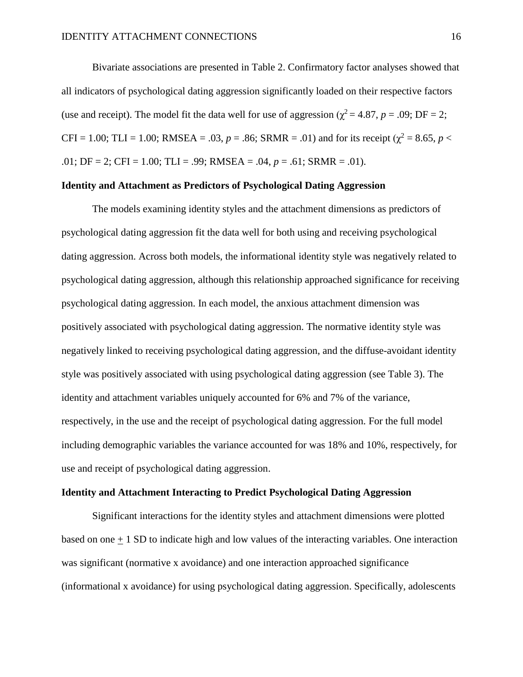Bivariate associations are presented in Table 2. Confirmatory factor analyses showed that all indicators of psychological dating aggression significantly loaded on their respective factors (use and receipt). The model fit the data well for use of aggression ( $\chi^2 = 4.87$ ,  $p = .09$ ; DF = 2; CFI = 1.00; TLI = 1.00; RMSEA = .03,  $p = .86$ ; SRMR = .01) and for its receipt ( $\chi^2 = 8.65$ ,  $p <$ .01; DF = 2; CFI = 1.00; TLI = .99; RMSEA = .04, *p* = .61; SRMR = .01).

### **Identity and Attachment as Predictors of Psychological Dating Aggression**

The models examining identity styles and the attachment dimensions as predictors of psychological dating aggression fit the data well for both using and receiving psychological dating aggression. Across both models, the informational identity style was negatively related to psychological dating aggression, although this relationship approached significance for receiving psychological dating aggression. In each model, the anxious attachment dimension was positively associated with psychological dating aggression. The normative identity style was negatively linked to receiving psychological dating aggression, and the diffuse-avoidant identity style was positively associated with using psychological dating aggression (see Table 3). The identity and attachment variables uniquely accounted for 6% and 7% of the variance, respectively, in the use and the receipt of psychological dating aggression. For the full model including demographic variables the variance accounted for was 18% and 10%, respectively, for use and receipt of psychological dating aggression.

### **Identity and Attachment Interacting to Predict Psychological Dating Aggression**

Significant interactions for the identity styles and attachment dimensions were plotted based on one  $+1$  SD to indicate high and low values of the interacting variables. One interaction was significant (normative x avoidance) and one interaction approached significance (informational x avoidance) for using psychological dating aggression. Specifically, adolescents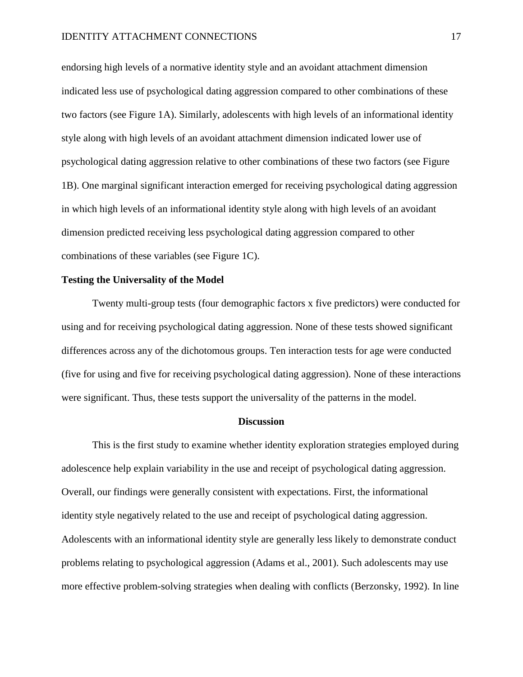endorsing high levels of a normative identity style and an avoidant attachment dimension indicated less use of psychological dating aggression compared to other combinations of these two factors (see Figure 1A). Similarly, adolescents with high levels of an informational identity style along with high levels of an avoidant attachment dimension indicated lower use of psychological dating aggression relative to other combinations of these two factors (see Figure 1B). One marginal significant interaction emerged for receiving psychological dating aggression in which high levels of an informational identity style along with high levels of an avoidant dimension predicted receiving less psychological dating aggression compared to other combinations of these variables (see Figure 1C).

### **Testing the Universality of the Model**

Twenty multi-group tests (four demographic factors x five predictors) were conducted for using and for receiving psychological dating aggression. None of these tests showed significant differences across any of the dichotomous groups. Ten interaction tests for age were conducted (five for using and five for receiving psychological dating aggression). None of these interactions were significant. Thus, these tests support the universality of the patterns in the model.

#### **Discussion**

This is the first study to examine whether identity exploration strategies employed during adolescence help explain variability in the use and receipt of psychological dating aggression. Overall, our findings were generally consistent with expectations. First, the informational identity style negatively related to the use and receipt of psychological dating aggression. Adolescents with an informational identity style are generally less likely to demonstrate conduct problems relating to psychological aggression (Adams et al., 2001). Such adolescents may use more effective problem-solving strategies when dealing with conflicts (Berzonsky, 1992). In line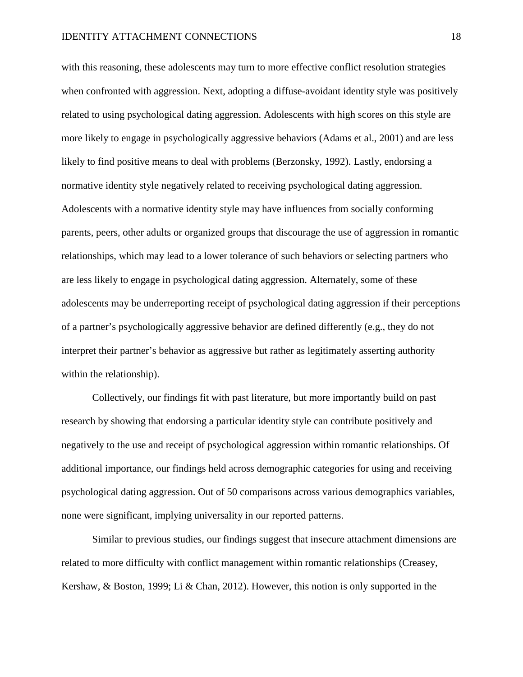with this reasoning, these adolescents may turn to more effective conflict resolution strategies when confronted with aggression. Next, adopting a diffuse-avoidant identity style was positively related to using psychological dating aggression. Adolescents with high scores on this style are more likely to engage in psychologically aggressive behaviors (Adams et al., 2001) and are less likely to find positive means to deal with problems (Berzonsky, 1992). Lastly, endorsing a normative identity style negatively related to receiving psychological dating aggression. Adolescents with a normative identity style may have influences from socially conforming parents, peers, other adults or organized groups that discourage the use of aggression in romantic relationships, which may lead to a lower tolerance of such behaviors or selecting partners who are less likely to engage in psychological dating aggression. Alternately, some of these adolescents may be underreporting receipt of psychological dating aggression if their perceptions of a partner's psychologically aggressive behavior are defined differently (e.g., they do not interpret their partner's behavior as aggressive but rather as legitimately asserting authority within the relationship).

Collectively, our findings fit with past literature, but more importantly build on past research by showing that endorsing a particular identity style can contribute positively and negatively to the use and receipt of psychological aggression within romantic relationships. Of additional importance, our findings held across demographic categories for using and receiving psychological dating aggression. Out of 50 comparisons across various demographics variables, none were significant, implying universality in our reported patterns.

Similar to previous studies, our findings suggest that insecure attachment dimensions are related to more difficulty with conflict management within romantic relationships (Creasey, Kershaw, & Boston, 1999; Li & Chan, 2012). However, this notion is only supported in the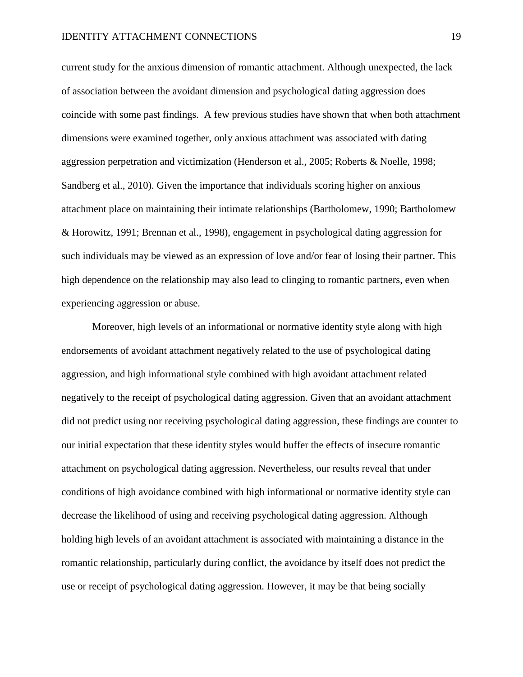current study for the anxious dimension of romantic attachment. Although unexpected, the lack of association between the avoidant dimension and psychological dating aggression does coincide with some past findings. A few previous studies have shown that when both attachment dimensions were examined together, only anxious attachment was associated with dating aggression perpetration and victimization (Henderson et al., 2005; Roberts & Noelle, 1998; Sandberg et al., 2010). Given the importance that individuals scoring higher on anxious attachment place on maintaining their intimate relationships (Bartholomew, 1990; Bartholomew & Horowitz, 1991; Brennan et al., 1998), engagement in psychological dating aggression for such individuals may be viewed as an expression of love and/or fear of losing their partner. This high dependence on the relationship may also lead to clinging to romantic partners, even when experiencing aggression or abuse.

Moreover, high levels of an informational or normative identity style along with high endorsements of avoidant attachment negatively related to the use of psychological dating aggression, and high informational style combined with high avoidant attachment related negatively to the receipt of psychological dating aggression. Given that an avoidant attachment did not predict using nor receiving psychological dating aggression, these findings are counter to our initial expectation that these identity styles would buffer the effects of insecure romantic attachment on psychological dating aggression. Nevertheless, our results reveal that under conditions of high avoidance combined with high informational or normative identity style can decrease the likelihood of using and receiving psychological dating aggression. Although holding high levels of an avoidant attachment is associated with maintaining a distance in the romantic relationship, particularly during conflict, the avoidance by itself does not predict the use or receipt of psychological dating aggression. However, it may be that being socially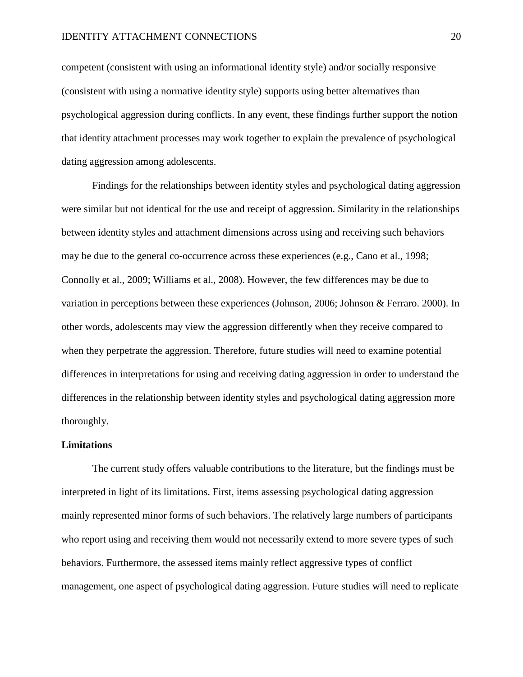competent (consistent with using an informational identity style) and/or socially responsive (consistent with using a normative identity style) supports using better alternatives than psychological aggression during conflicts. In any event, these findings further support the notion that identity attachment processes may work together to explain the prevalence of psychological dating aggression among adolescents.

Findings for the relationships between identity styles and psychological dating aggression were similar but not identical for the use and receipt of aggression. Similarity in the relationships between identity styles and attachment dimensions across using and receiving such behaviors may be due to the general co-occurrence across these experiences (e.g., Cano et al., 1998; Connolly et al., 2009; Williams et al., 2008). However, the few differences may be due to variation in perceptions between these experiences (Johnson, 2006; Johnson & Ferraro. 2000). In other words, adolescents may view the aggression differently when they receive compared to when they perpetrate the aggression. Therefore, future studies will need to examine potential differences in interpretations for using and receiving dating aggression in order to understand the differences in the relationship between identity styles and psychological dating aggression more thoroughly.

#### **Limitations**

The current study offers valuable contributions to the literature, but the findings must be interpreted in light of its limitations. First, items assessing psychological dating aggression mainly represented minor forms of such behaviors. The relatively large numbers of participants who report using and receiving them would not necessarily extend to more severe types of such behaviors. Furthermore, the assessed items mainly reflect aggressive types of conflict management, one aspect of psychological dating aggression. Future studies will need to replicate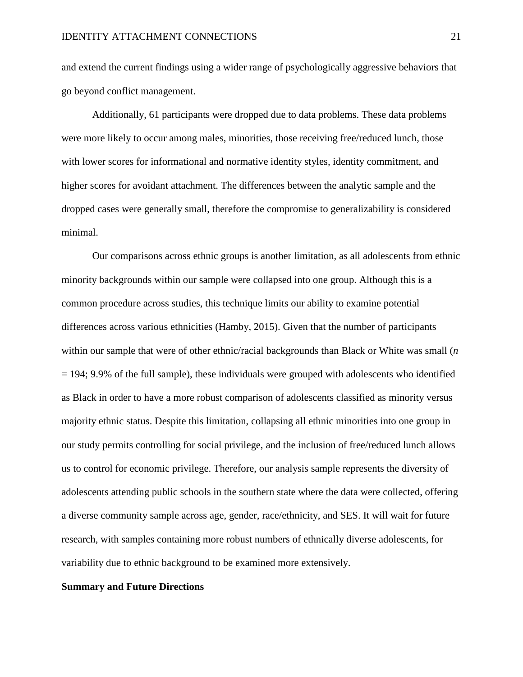and extend the current findings using a wider range of psychologically aggressive behaviors that go beyond conflict management.

Additionally, 61 participants were dropped due to data problems. These data problems were more likely to occur among males, minorities, those receiving free/reduced lunch, those with lower scores for informational and normative identity styles, identity commitment, and higher scores for avoidant attachment. The differences between the analytic sample and the dropped cases were generally small, therefore the compromise to generalizability is considered minimal.

Our comparisons across ethnic groups is another limitation, as all adolescents from ethnic minority backgrounds within our sample were collapsed into one group. Although this is a common procedure across studies, this technique limits our ability to examine potential differences across various ethnicities (Hamby, 2015). Given that the number of participants within our sample that were of other ethnic/racial backgrounds than Black or White was small (*n*  $= 194$ ; 9.9% of the full sample), these individuals were grouped with adolescents who identified as Black in order to have a more robust comparison of adolescents classified as minority versus majority ethnic status. Despite this limitation, collapsing all ethnic minorities into one group in our study permits controlling for social privilege, and the inclusion of free/reduced lunch allows us to control for economic privilege. Therefore, our analysis sample represents the diversity of adolescents attending public schools in the southern state where the data were collected, offering a diverse community sample across age, gender, race/ethnicity, and SES. It will wait for future research, with samples containing more robust numbers of ethnically diverse adolescents, for variability due to ethnic background to be examined more extensively.

#### **Summary and Future Directions**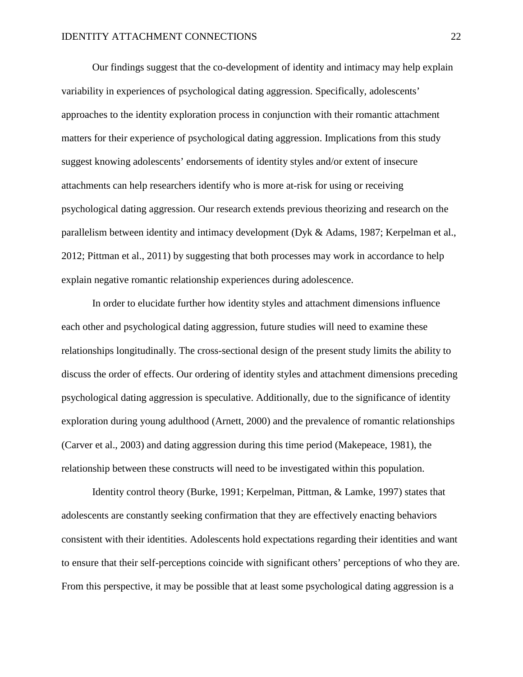Our findings suggest that the co-development of identity and intimacy may help explain variability in experiences of psychological dating aggression. Specifically, adolescents' approaches to the identity exploration process in conjunction with their romantic attachment matters for their experience of psychological dating aggression. Implications from this study suggest knowing adolescents' endorsements of identity styles and/or extent of insecure attachments can help researchers identify who is more at-risk for using or receiving psychological dating aggression. Our research extends previous theorizing and research on the parallelism between identity and intimacy development (Dyk & Adams, 1987; Kerpelman et al., 2012; Pittman et al., 2011) by suggesting that both processes may work in accordance to help explain negative romantic relationship experiences during adolescence.

In order to elucidate further how identity styles and attachment dimensions influence each other and psychological dating aggression, future studies will need to examine these relationships longitudinally. The cross-sectional design of the present study limits the ability to discuss the order of effects. Our ordering of identity styles and attachment dimensions preceding psychological dating aggression is speculative. Additionally, due to the significance of identity exploration during young adulthood (Arnett, 2000) and the prevalence of romantic relationships (Carver et al., 2003) and dating aggression during this time period (Makepeace, 1981), the relationship between these constructs will need to be investigated within this population.

Identity control theory (Burke, 1991; Kerpelman, Pittman, & Lamke, 1997) states that adolescents are constantly seeking confirmation that they are effectively enacting behaviors consistent with their identities. Adolescents hold expectations regarding their identities and want to ensure that their self-perceptions coincide with significant others' perceptions of who they are. From this perspective, it may be possible that at least some psychological dating aggression is a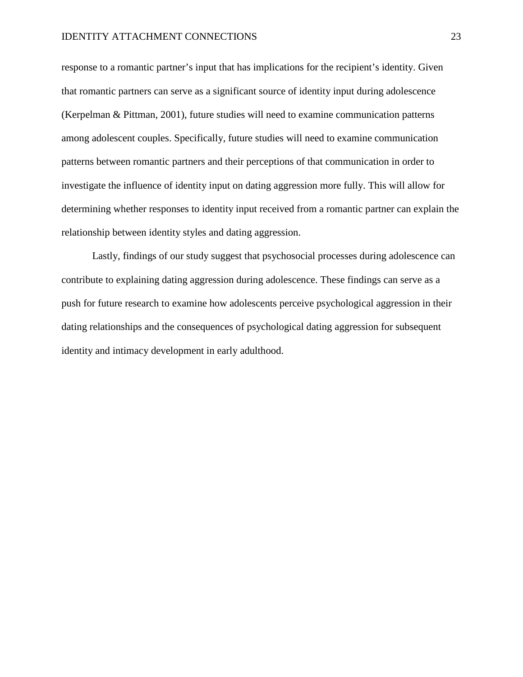response to a romantic partner's input that has implications for the recipient's identity. Given that romantic partners can serve as a significant source of identity input during adolescence (Kerpelman & Pittman, 2001), future studies will need to examine communication patterns among adolescent couples. Specifically, future studies will need to examine communication patterns between romantic partners and their perceptions of that communication in order to investigate the influence of identity input on dating aggression more fully. This will allow for determining whether responses to identity input received from a romantic partner can explain the relationship between identity styles and dating aggression.

Lastly, findings of our study suggest that psychosocial processes during adolescence can contribute to explaining dating aggression during adolescence. These findings can serve as a push for future research to examine how adolescents perceive psychological aggression in their dating relationships and the consequences of psychological dating aggression for subsequent identity and intimacy development in early adulthood.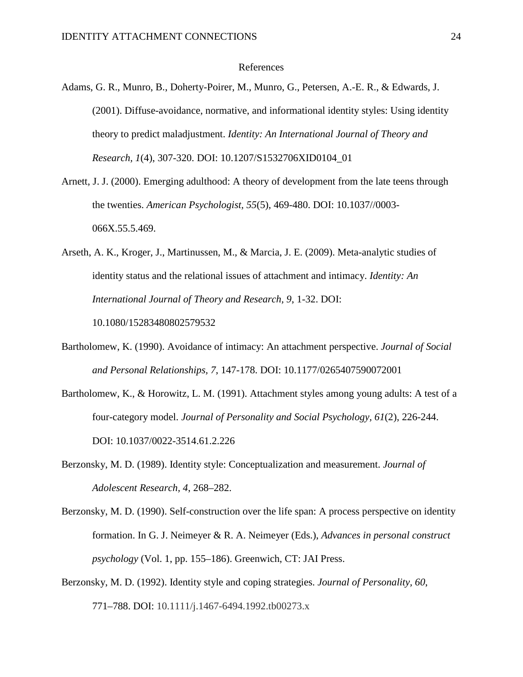#### References

- Adams, G. R., Munro, B., Doherty-Poirer, M., Munro, G., Petersen, A.-E. R., & Edwards, J. (2001). Diffuse-avoidance, normative, and informational identity styles: Using identity theory to predict maladjustment. *Identity: An International Journal of Theory and Research, 1*(4), 307-320. DOI: [10.1207/S1532706XID0104\\_01](http://dx.doi.org/10.1207/S1532706XID0104_01)
- Arnett, J. J. (2000). Emerging adulthood: A theory of development from the late teens through the twenties. *American Psychologist, 55*(5), 469-480. DOI: 10.1037//0003- 066X.55.5.469.
- Arseth, A. K., Kroger, J., Martinussen, M., & Marcia, J. E. (2009). Meta-analytic studies of identity status and the relational issues of attachment and intimacy. *Identity: An International Journal of Theory and Research, 9*, 1-32. DOI: [10.1080/15283480802579532](http://dx.doi.org/10.1080/15283480802579532)
- Bartholomew, K. (1990). Avoidance of intimacy: An attachment perspective. *Journal of Social and Personal Relationships, 7*, 147-178. DOI: 10.1177/0265407590072001
- Bartholomew, K., & Horowitz, L. M. (1991). Attachment styles among young adults: A test of a four-category model. *Journal of Personality and Social Psychology, 61*(2), 226-244. DOI: 10.1037/0022-3514.61.2.226
- Berzonsky, M. D. (1989). Identity style: Conceptualization and measurement. *Journal of Adolescent Research, 4*, 268–282.
- Berzonsky, M. D. (1990). Self-construction over the life span: A process perspective on identity formation. In G. J. Neimeyer & R. A. Neimeyer (Eds.), *Advances in personal construct psychology* (Vol. 1, pp. 155–186). Greenwich, CT: JAI Press.
- Berzonsky, M. D. (1992). Identity style and coping strategies. *Journal of Personality, 60*, 771–788. DOI: 10.1111/j.1467-6494.1992.tb00273.x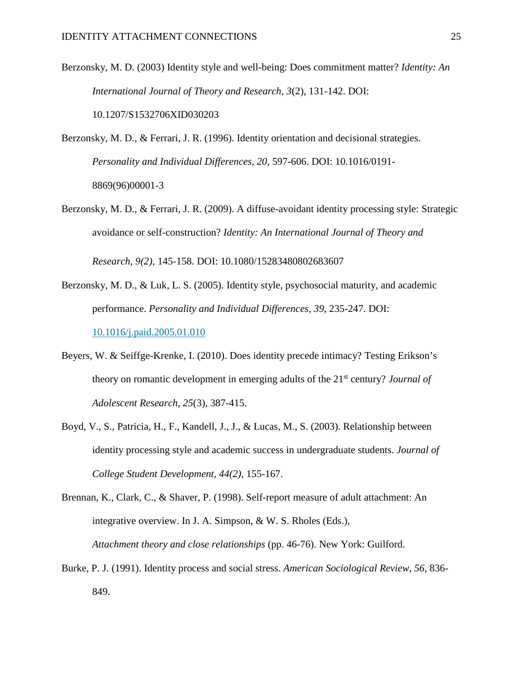Berzonsky, M. D. (2003) Identity style and well-being: Does commitment matter? *Identity: An International Journal of Theory and Research, 3*(2), 131-142. DOI: [10.1207/S1532706XID030203](http://dx.doi.org/10.1207/S1532706XID030203)

Berzonsky, M. D., & Ferrari, J. R. (1996). Identity orientation and decisional strategies. *Personality and Individual Differences, 20*, 597-606. DOI: [10.1016/0191-](http://dx.doi.org/10.1016/0191-8869(96)00001-3) [8869\(96\)00001-3](http://dx.doi.org/10.1016/0191-8869(96)00001-3)

Berzonsky, M. D., & Ferrari, J. R. (2009). A diffuse-avoidant identity processing style: Strategic avoidance or self-construction? *Identity: An International Journal of Theory and* 

*Research, 9(2)*, 145-158. DOI: [10.1080/15283480802683607](http://dx.doi.org/10.1080/15283480802683607)

- Berzonsky, M. D., & Luk, L. S. (2005). Identity style, psychosocial maturity, and academic performance. *Personality and Individual Differences, 39*, 235-247. DOI: [10.1016/j.paid.2005.01.010](https://doi.org/10.1016/j.paid.2005.01.010)
- Beyers, W. & Seiffge-Krenke, I. (2010). Does identity precede intimacy? Testing Erikson's theory on romantic development in emerging adults of the 21st century? *Journal of Adolescent Research, 25*(3), 387-415.
- Boyd, V., S., Patricia, H., F., Kandell, J., J., & Lucas, M., S. (2003). Relationship between identity processing style and academic success in undergraduate students. *Journal of College Student Development, 44(2)*, 155-167.

Brennan, K., Clark, C., & Shaver, P. (1998). Self-report measure of adult attachment: An integrative overview. In J. A. Simpson, & W. S. Rholes (Eds.), *Attachment theory and close relationships* (pp. 46-76). New York: Guilford.

Burke, P. J. (1991). Identity process and social stress. *American Sociological Review, 56*, 836- 849.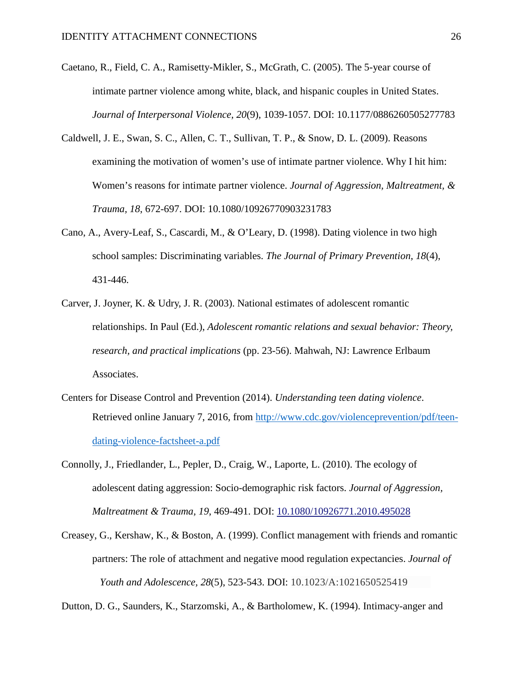- Caetano, R., Field, C. A., Ramisetty-Mikler, S., McGrath, C. (2005). The 5-year course of intimate partner violence among white, black, and hispanic couples in United States. *Journal of Interpersonal Violence, 20*(9), 1039-1057. DOI: 10.1177/0886260505277783
- Caldwell, J. E., Swan, S. C., Allen, C. T., Sullivan, T. P., & Snow, D. L. (2009). Reasons examining the motivation of women's use of intimate partner violence. Why I hit him: Women's reasons for intimate partner violence. *Journal of Aggression, Maltreatment, & Trauma, 18*, 672-697. DOI: 10.1080/10926770903231783
- Cano, A., Avery-Leaf, S., Cascardi, M., & O'Leary, D. (1998). Dating violence in two high school samples: Discriminating variables. *The Journal of Primary Prevention, 18*(4), 431-446.
- Carver, J. Joyner, K. & Udry, J. R. (2003). National estimates of adolescent romantic relationships. In Paul (Ed.), *Adolescent romantic relations and sexual behavior: Theory, research, and practical implications* (pp. 23-56). Mahwah, NJ: Lawrence Erlbaum Associates.
- Centers for Disease Control and Prevention (2014). *Understanding teen dating violence*. Retrieved online January 7, 2016, from [http://www.cdc.gov/violenceprevention/pdf/teen](http://www.cdc.gov/violenceprevention/pdf/teen-dating-violence-factsheet-a.pdf)[dating-violence-factsheet-a.pdf](http://www.cdc.gov/violenceprevention/pdf/teen-dating-violence-factsheet-a.pdf)
- Connolly, J., Friedlander, L., Pepler, D., Craig, W., Laporte, L. (2010). The ecology of adolescent dating aggression: Socio-demographic risk factors. *Journal of Aggression, Maltreatment & Trauma, 19*, 469-491. DOI: [10.1080/10926771.2010.495028](http://dx.doi.org/10.1080/10926771.2010.495028)
- Creasey, G., Kershaw, K., & Boston, A. (1999). Conflict management with friends and romantic partners: The role of attachment and negative mood regulation expectancies. *Journal of Youth and Adolescence, 28*(5), 523-543. DOI: 10.1023/A:1021650525419

Dutton, D. G., Saunders, K., Starzomski, A., & Bartholomew, K. (1994). Intimacy-anger and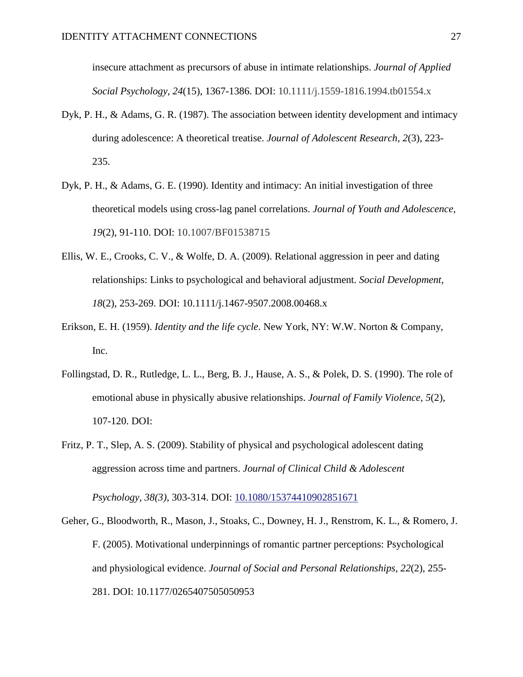insecure attachment as precursors of abuse in intimate relationships. *Journal of Applied Social Psychology, 24*(15), 1367-1386. DOI: 10.1111/j.1559-1816.1994.tb01554.x

- Dyk, P. H., & Adams, G. R. (1987). The association between identity development and intimacy during adolescence: A theoretical treatise. *Journal of Adolescent Research, 2*(3), 223- 235.
- Dyk, P. H., & Adams, G. E. (1990). Identity and intimacy: An initial investigation of three theoretical models using cross-lag panel correlations. *Journal of Youth and Adolescence, 19*(2), 91-110. DOI: 10.1007/BF01538715
- Ellis, W. E., Crooks, C. V., & Wolfe, D. A. (2009). Relational aggression in peer and dating relationships: Links to psychological and behavioral adjustment. *Social Development, 18*(2), 253-269. DOI: 10.1111/j.1467-9507.2008.00468.x
- Erikson, E. H. (1959). *Identity and the life cycle*. New York, NY: W.W. Norton & Company, Inc.
- Follingstad, D. R., Rutledge, L. L., Berg, B. J., Hause, A. S., & Polek, D. S. (1990). The role of emotional abuse in physically abusive relationships. *Journal of Family Violence, 5*(2), 107-120. DOI:
- Fritz, P. T., Slep, A. S. (2009). Stability of physical and psychological adolescent dating aggression across time and partners. *Journal of Clinical Child & Adolescent*

*Psychology, 38(3)*, 303-314. DOI: [10.1080/15374410902851671](http://dx.doi.org/10.1080/15374410902851671)

Geher, G., Bloodworth, R., Mason, J., Stoaks, C., Downey, H. J., Renstrom, K. L., & Romero, J. F. (2005). Motivational underpinnings of romantic partner perceptions: Psychological and physiological evidence. *Journal of Social and Personal Relationships, 22*(2), 255- 281. DOI: 10.1177/0265407505050953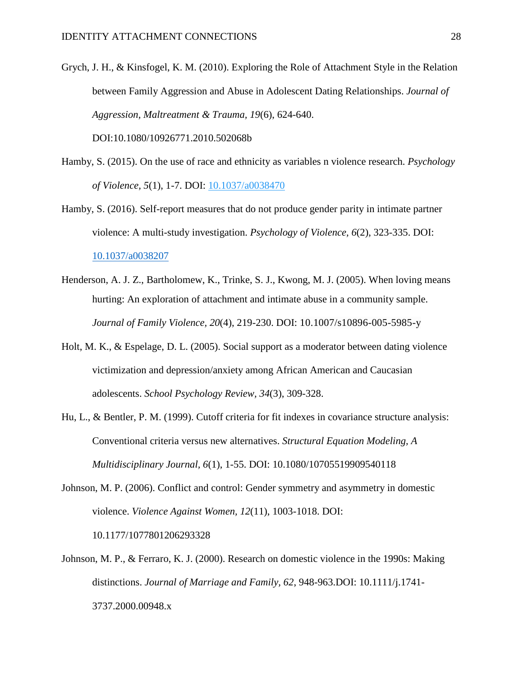Grych, J. H., & Kinsfogel, K. M. (2010). Exploring the Role of Attachment Style in the Relation between Family Aggression and Abuse in Adolescent Dating Relationships. *Journal of Aggression, Maltreatment & Trauma, 19*(6), 624-640.

DOI:10.1080/10926771.2010.502068b

- Hamby, S. (2015). On the use of race and ethnicity as variables n violence research. *Psychology of Violence, 5*(1), 1-7. DOI: [10.1037/a0038470](http://psycnet.apa.org/doi/10.1037/a0038470)
- Hamby, S. (2016). Self-report measures that do not produce gender parity in intimate partner violence: A multi-study investigation. *Psychology of Violence, 6*(2), 323-335. DOI: [10.1037/a0038207](http://psycnet.apa.org/doi/10.1037/a0038207)
- Henderson, A. J. Z., Bartholomew, K., Trinke, S. J., Kwong, M. J. (2005). When loving means hurting: An exploration of attachment and intimate abuse in a community sample. *Journal of Family Violence, 20*(4), 219-230. DOI: 10.1007/s10896-005-5985-y
- Holt, M. K., & Espelage, D. L. (2005). Social support as a moderator between dating violence victimization and depression/anxiety among African American and Caucasian adolescents. *School Psychology Review, 34*(3), 309-328.
- Hu, L., & Bentler, P. M. (1999). Cutoff criteria for fit indexes in covariance structure analysis: Conventional criteria versus new alternatives. *Structural Equation Modeling, A Multidisciplinary Journal, 6*(1), 1-55. DOI: 10.1080/10705519909540118
- Johnson, M. P. (2006). Conflict and control: Gender symmetry and asymmetry in domestic violence. *Violence Against Women, 12*(11), 1003-1018. DOI: 10.1177/1077801206293328
- Johnson, M. P., & Ferraro, K. J. (2000). Research on domestic violence in the 1990s: Making distinctions. *Journal of Marriage and Family, 62*, 948-963.DOI: 10.1111/j.1741- 3737.2000.00948.x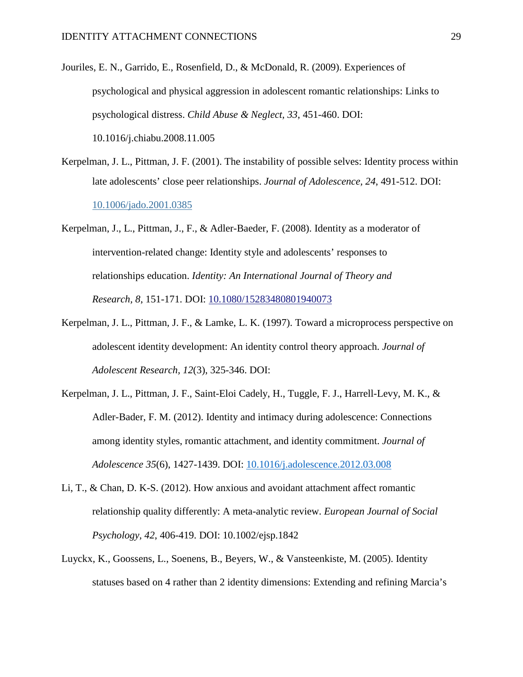- Jouriles, E. N., Garrido, E., Rosenfield, D., & McDonald, R. (2009). Experiences of psychological and physical aggression in adolescent romantic relationships: Links to psychological distress. *Child Abuse & Neglect, 33*, 451-460. DOI: 10.1016/j.chiabu.2008.11.005
- Kerpelman, J. L., Pittman, J. F. (2001). The instability of possible selves: Identity process within late adolescents' close peer relationships. *Journal of Adolescence, 24*, 491-512. DOI: [10.1006/jado.2001.0385](http://dx.doi.org/10.1006/jado.2001.0385)
- Kerpelman, J., L., Pittman, J., F., & Adler-Baeder, F. (2008). Identity as a moderator of intervention-related change: Identity style and adolescents' responses to relationships education. *Identity: An International Journal of Theory and Research, 8*, 151-171. DOI: [10.1080/15283480801940073](http://dx.doi.org/10.1080/15283480801940073)
- Kerpelman, J. L., Pittman, J. F., & Lamke, L. K. (1997). Toward a microprocess perspective on adolescent identity development: An identity control theory approach. *Journal of Adolescent Research, 12*(3), 325-346. DOI:
- Kerpelman, J. L., Pittman, J. F., Saint-Eloi Cadely, H., Tuggle, F. J., Harrell-Levy, M. K., & Adler-Bader, F. M. (2012). Identity and intimacy during adolescence: Connections among identity styles, romantic attachment, and identity commitment. *Journal of Adolescence 35*(6), 1427-1439. DOI: [10.1016/j.adolescence.2012.03.008](http://dx.doi.org/10.1016/j.adolescence.2012.03.008)
- Li, T., & Chan, D. K-S. (2012). How anxious and avoidant attachment affect romantic relationship quality differently: A meta-analytic review. *European Journal of Social Psychology, 42*, 406-419. DOI: 10.1002/ejsp.1842
- Luyckx, K., Goossens, L., Soenens, B., Beyers, W., & Vansteenkiste, M. (2005). Identity statuses based on 4 rather than 2 identity dimensions: Extending and refining Marcia's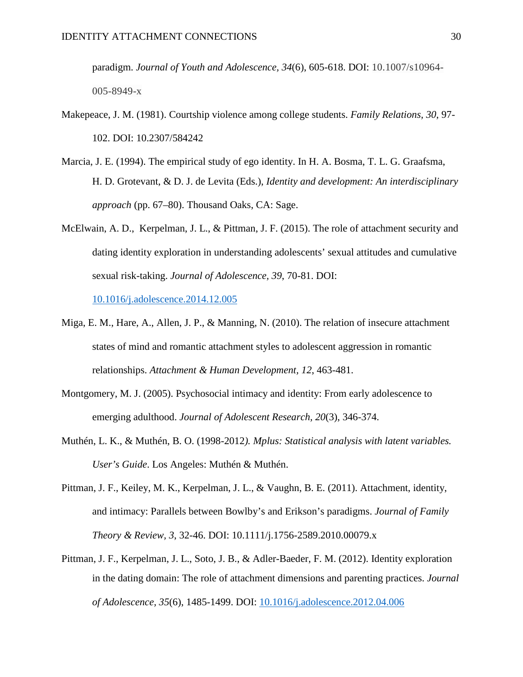paradigm. *Journal of Youth and Adolescence, 34*(6), 605-618. DOI: 10.1007/s10964- 005-8949-x

- Makepeace, J. M. (1981). Courtship violence among college students. *Family Relations, 30*, 97- 102. DOI: 10.2307/584242
- Marcia, J. E. (1994). The empirical study of ego identity. In H. A. Bosma, T. L. G. Graafsma, H. D. Grotevant, & D. J. de Levita (Eds.), *Identity and development: An interdisciplinary approach* (pp. 67–80). Thousand Oaks, CA: Sage.
- McElwain, A. D., Kerpelman, J. L., & Pittman, J. F. (2015). The role of attachment security and dating identity exploration in understanding adolescents' sexual attitudes and cumulative sexual risk-taking. *Journal of Adolescence, 39*, 70-81. DOI:

[10.1016/j.adolescence.2014.12.005](http://dx.doi.org/10.1016/j.adolescence.2014.12.005)

- Miga, E. M., Hare, A., Allen, J. P., & Manning, N. (2010). The relation of insecure attachment states of mind and romantic attachment styles to adolescent aggression in romantic relationships. *Attachment & Human Development, 12*, 463-481.
- Montgomery, M. J. (2005). Psychosocial intimacy and identity: From early adolescence to emerging adulthood. *Journal of Adolescent Research, 20*(3), 346-374.
- Muthén, L. K., & Muthén, B. O. (1998-2012*). Mplus: Statistical analysis with latent variables. User's Guide*. Los Angeles: Muthén & Muthén.
- Pittman, J. F., Keiley, M. K., Kerpelman, J. L., & Vaughn, B. E. (2011). Attachment, identity, and intimacy: Parallels between Bowlby's and Erikson's paradigms. *Journal of Family Theory & Review, 3*, 32-46. DOI: 10.1111/j.1756-2589.2010.00079.x
- Pittman, J. F., Kerpelman, J. L., Soto, J. B., & Adler-Baeder, F. M. (2012). Identity exploration in the dating domain: The role of attachment dimensions and parenting practices. *Journal of Adolescence, 35*(6), 1485-1499. DOI: [10.1016/j.adolescence.2012.04.006](http://dx.doi.org/10.1016/j.adolescence.2012.04.006)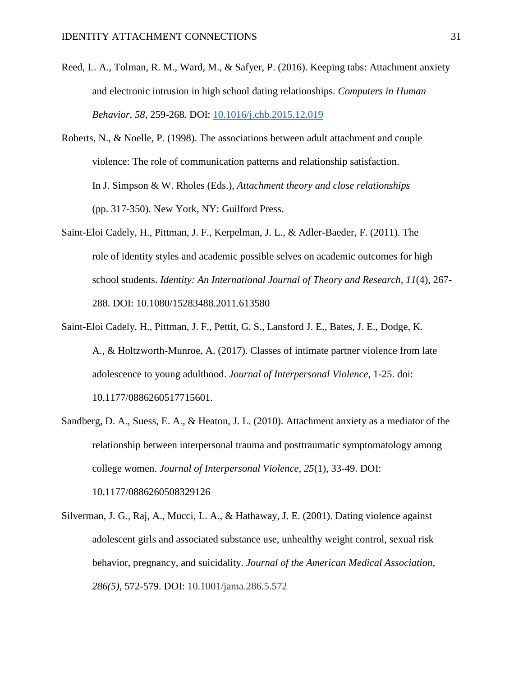- Reed, L. A., Tolman, R. M., Ward, M., & Safyer, P. (2016). Keeping tabs: Attachment anxiety and electronic intrusion in high school dating relationships. *Computers in Human Behavior, 58*, 259-268. DOI: [10.1016/j.chb.2015.12.019](http://dx.doi.org/10.1016/j.chb.2015.12.019)
- Roberts, N., & Noelle, P. (1998). The associations between adult attachment and couple violence: The role of communication patterns and relationship satisfaction. In J. Simpson & W. Rholes (Eds.), *Attachment theory and close relationships* (pp. 317-350). New York, NY: Guilford Press.
- Saint-Eloi Cadely, H., Pittman, J. F., Kerpelman, J. L., & Adler-Baeder, F. (2011). The role of identity styles and academic possible selves on academic outcomes for high school students. *Identity: An International Journal of Theory and Research, 11*(4), 267- 288. DOI: 10.1080/15283488.2011.613580
- Saint-Eloi Cadely, H., Pittman, J. F., Pettit, G. S., Lansford J. E., Bates, J. E., Dodge, K. A., & Holtzworth-Munroe, A. (2017). Classes of intimate partner violence from late adolescence to young adulthood. *Journal of Interpersonal Violence*, 1-25. doi: 10.1177/0886260517715601.
- Sandberg, D. A., Suess, E. A., & Heaton, J. L. (2010). Attachment anxiety as a mediator of the relationship between interpersonal trauma and posttraumatic symptomatology among college women. *Journal of Interpersonal Violence, 25*(1), 33-49. DOI: 10.1177/0886260508329126

Silverman, J. G., Raj, A., Mucci, L. A., & Hathaway, J. E. (2001). Dating violence against adolescent girls and associated substance use, unhealthy weight control, sexual risk behavior, pregnancy, and suicidality. *Journal of the American Medical Association, 286(5)*, 572-579. DOI: 10.1001/jama.286.5.572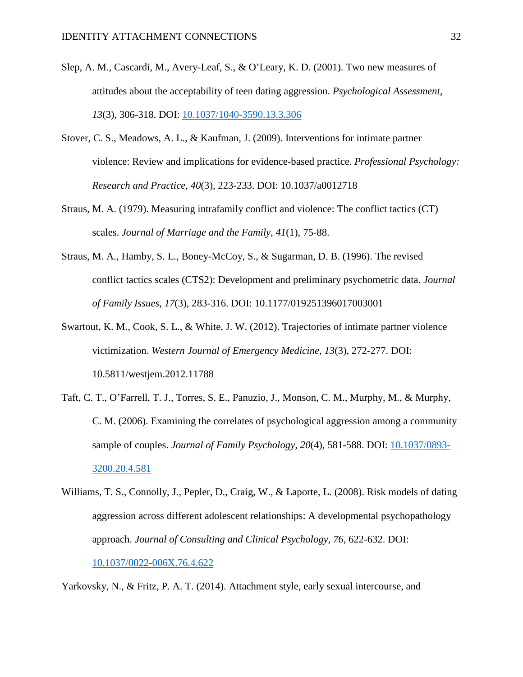- Slep, A. M., Cascardi, M., Avery-Leaf, S., & O'Leary, K. D. (2001). Two new measures of attitudes about the acceptability of teen dating aggression. *Psychological Assessment, 13*(3), 306-318. DOI: [10.1037/1040-3590.13.3.306](http://psycnet.apa.org/doi/10.1037/1040-3590.13.3.306)
- Stover, C. S., Meadows, A. L., & Kaufman, J. (2009). Interventions for intimate partner violence: Review and implications for evidence-based practice. *Professional Psychology: Research and Practice, 40*(3), 223-233. DOI: 10.1037/a0012718
- Straus, M. A. (1979). Measuring intrafamily conflict and violence: The conflict tactics (CT) scales. *Journal of Marriage and the Family, 41*(1), 75-88.
- Straus, M. A., Hamby, S. L., Boney-McCoy, S., & Sugarman, D. B. (1996). The revised conflict tactics scales (CTS2): Development and preliminary psychometric data. *Journal of Family Issues, 17*(3), 283-316. DOI: 10.1177/019251396017003001
- Swartout, K. M., Cook, S. L., & White, J. W. (2012). Trajectories of intimate partner violence victimization. *Western Journal of Emergency Medicine, 13*(3), 272-277. DOI: 10.5811/westjem.2012.11788
- Taft, C. T., O'Farrell, T. J., Torres, S. E., Panuzio, J., Monson, C. M., Murphy, M., & Murphy, C. M. (2006). Examining the correlates of psychological aggression among a community sample of couples. *Journal of Family Psychology, 20*(4), 581-588. DOI: [10.1037/0893-](http://psycnet.apa.org/doi/10.1037/0893-3200.20.4.581) [3200.20.4.581](http://psycnet.apa.org/doi/10.1037/0893-3200.20.4.581)
- Williams, T. S., Connolly, J., Pepler, D., Craig, W., & Laporte, L. (2008). Risk models of dating aggression across different adolescent relationships: A developmental psychopathology approach. *Journal of Consulting and Clinical Psychology, 76*, 622-632. DOI: [10.1037/0022-006X.76.4.622](http://psycnet.apa.org/doi/10.1037/0022-006X.76.4.622)

Yarkovsky, N., & Fritz, P. A. T. (2014). Attachment style, early sexual intercourse, and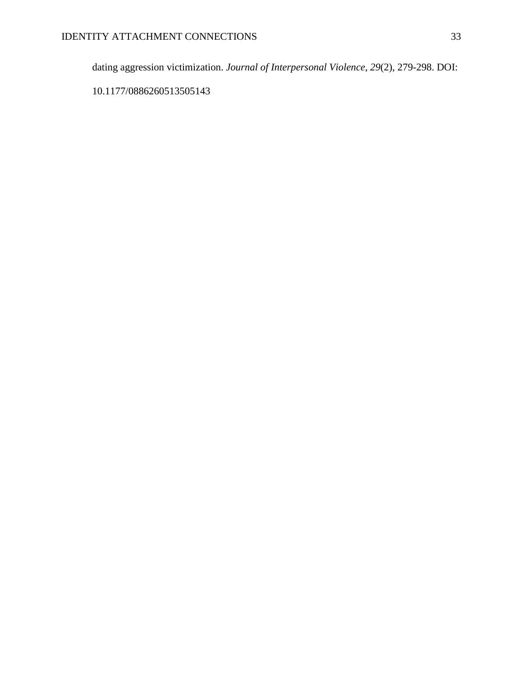dating aggression victimization. *Journal of Interpersonal Violence*, *29*(2), 279-298. DOI:

10.1177/0886260513505143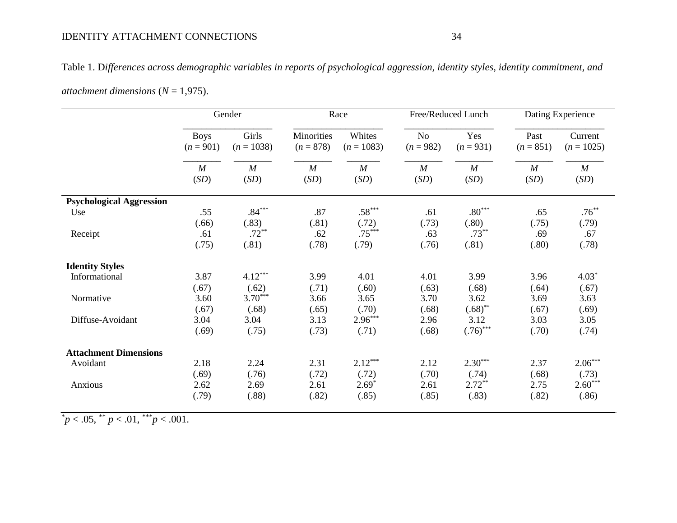# IDENTITY ATTACHMENT CONNECTIONS 34

Table 1. D*ifferences across demographic variables in reports of psychological aggression, identity styles, identity commitment, and* 

|                                 | Gender           |                  | Race             |              | Free/Reduced Lunch |                  | Dating Experience |                  |  |
|---------------------------------|------------------|------------------|------------------|--------------|--------------------|------------------|-------------------|------------------|--|
|                                 | <b>Boys</b>      | Girls            | Minorities       | Whites       | N <sub>o</sub>     | Yes              | Past              | Current          |  |
|                                 | $(n = 901)$      | $(n = 1038)$     | $(n = 878)$      | $(n = 1083)$ | $(n = 982)$        | $(n = 931)$      | $(n = 851)$       | $(n = 1025)$     |  |
|                                 | $\boldsymbol{M}$ | $\boldsymbol{M}$ | $\boldsymbol{M}$ | M            | $\boldsymbol{M}$   | $\boldsymbol{M}$ | $\boldsymbol{M}$  | $\boldsymbol{M}$ |  |
|                                 | (SD)             | (SD)             | (SD)             | (SD)         | (SD)               | (SD)             | (SD)              | (SD)             |  |
| <b>Psychological Aggression</b> |                  |                  |                  |              |                    |                  |                   |                  |  |
| Use                             | .55              | $.84***$         | .87              | $.58***$     | .61                | $.80***$         | .65               | $.76***$         |  |
|                                 | (.66)            | (.83)            | (.81)            | (.72)        | (.73)              | (.80)            | (.75)             | (.79)            |  |
| Receipt                         | .61              | $.72***$         | .62              | $.75***$     | .63                | $.73***$         | .69               | .67              |  |
|                                 | (.75)            | (.81)            | (.78)            | (.79)        | (.76)              | (.81)            | (.80)             | (.78)            |  |
| <b>Identity Styles</b>          |                  |                  |                  |              |                    |                  |                   |                  |  |
| Informational                   | 3.87             | $4.12***$        | 3.99             | 4.01         | 4.01               | 3.99             | 3.96              | $4.03*$          |  |
|                                 | (.67)            | (.62)            | (.71)            | (.60)        | (.63)              | (.68)            | (.64)             | (.67)            |  |
| Normative                       | 3.60             | $3.70***$        | 3.66             | 3.65         | 3.70               | 3.62             | 3.69              | 3.63             |  |
|                                 | (.67)            | (.68)            | (.65)            | (.70)        | (.68)              | $(.68)$ **       | (.67)             | (.69)            |  |
| Diffuse-Avoidant                | 3.04             | 3.04             | 3.13             | $2.96***$    | 2.96               | 3.12             | 3.03              | 3.05             |  |
|                                 | (.69)            | (.75)            | (.73)            | (.71)        | (.68)              | $(.76)$ ***      | (.70)             | (.74)            |  |
| <b>Attachment Dimensions</b>    |                  |                  |                  |              |                    |                  |                   |                  |  |
| Avoidant                        | 2.18             | 2.24             | 2.31             | $2.12***$    | 2.12               | $2.30***$        | 2.37              | $2.06***$        |  |
|                                 | (.69)            | (.76)            | (.72)            | (.72)        | (.70)              | (.74)            | (.68)             | (.73)            |  |
| Anxious                         | 2.62             | 2.69             | 2.61             | $2.69*$      | 2.61               | $2.72***$        | 2.75              | $2.60***$        |  |
|                                 | (.79)            | (.88)            | (.82)            | (.85)        | (.85)              | (.83)            | (.82)             | (.86)            |  |

*attachment dimensions* (*N* = 1,975).

 $p<sub>1</sub>05$ ,  $p<sub>2</sub>01$ ,  $p<sub>3</sub>001$ .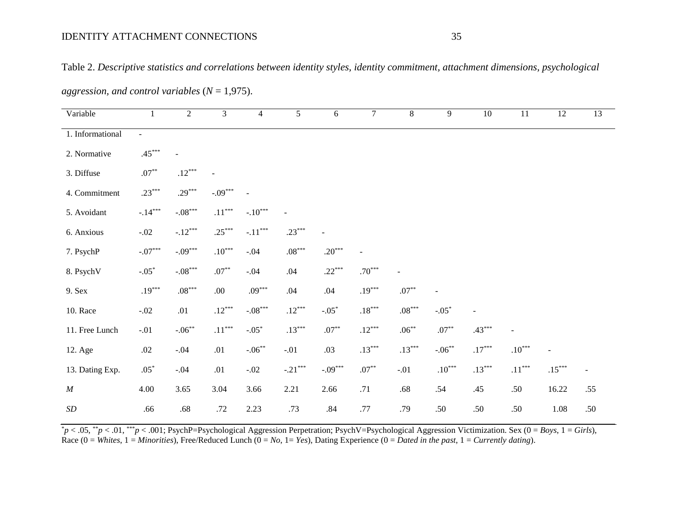| aggression, and control variables ( $N = 1,975$ ). |                           |                                    |                      |                           |                      |           |                      |                      |                |                |                      |                          |                          |
|----------------------------------------------------|---------------------------|------------------------------------|----------------------|---------------------------|----------------------|-----------|----------------------|----------------------|----------------|----------------|----------------------|--------------------------|--------------------------|
| Variable                                           | $\mathbf{1}$              | $\overline{2}$                     | $\overline{3}$       | $\overline{4}$            | $\overline{5}$       | 6         | $\overline{7}$       | $\overline{8}$       | $\overline{9}$ | 10             | 11                   | 12                       | 13                       |
| 1. Informational                                   | $\sim$                    |                                    |                      |                           |                      |           |                      |                      |                |                |                      |                          |                          |
| 2. Normative                                       | $.45***$                  | $\overline{a}$                     |                      |                           |                      |           |                      |                      |                |                |                      |                          |                          |
| 3. Diffuse                                         | $.07^{\ast\ast}$          | $.12***$                           |                      |                           |                      |           |                      |                      |                |                |                      |                          |                          |
| 4. Commitment                                      | $.23***$                  | $.29***$                           | $-.09***$            | $\overline{a}$            |                      |           |                      |                      |                |                |                      |                          |                          |
| 5. Avoidant                                        | $-.14***$                 | $\textnormal{-}.08^{\ast\ast\ast}$ | $.11^{\ast\ast\ast}$ | $-.10***$                 | $\blacksquare$       |           |                      |                      |                |                |                      |                          |                          |
| 6. Anxious                                         | $-.02$                    | $-.12***$                          | $.25***$             | $-.11***$                 | $.23***$             |           |                      |                      |                |                |                      |                          |                          |
| 7. PsychP                                          | $\textnormal{-}.07^{***}$ | $-.09***$                          | $.10***$             | $-.04$                    | $.08^{\ast\ast\ast}$ | $.20***$  | $\blacksquare$       |                      |                |                |                      |                          |                          |
| 8. PsychV                                          | $-.05*$                   | $-.08***$                          | $.07^{\ast\ast}$     | $-.04$                    | .04                  | $.22***$  | $.70***$             | $\overline{a}$       |                |                |                      |                          |                          |
| 9. Sex                                             | $.19***$                  | $.08***$                           | .00.                 | $.09***$                  | .04                  | .04       | $.19***$             | $.07^{\ast\ast}$     |                |                |                      |                          |                          |
| 10. Race                                           | $-.02$                    | .01                                | $.12***$             | $\textnormal{-}.08^{***}$ | $.12***$             | $-.05*$   | $.18^{\ast\ast\ast}$ | $.08^{\ast\ast\ast}$ | $-.05*$        | $\blacksquare$ |                      |                          |                          |
| 11. Free Lunch                                     | $-.01$                    | $-.06***$                          | $.11^{\ast\ast\ast}$ | $-.05*$                   | $.13***$             | $.07***$  | $.12***$             | $.06***$             | $.07***$       | $.43***$       |                      |                          |                          |
| 12. Age                                            | $.02\,$                   | $-.04$                             | .01                  | $-.06***$                 | $-.01$               | .03       | $.13***$             | $.13***$             | $-.06***$      | $.17***$       | $.10***$             | $\overline{\phantom{a}}$ |                          |
| 13. Dating Exp.                                    | $.05^\ast$                | $-.04$                             | .01                  | $-.02$                    | $-.21***$            | $-.09***$ | $.07^{\ast\ast}$     | $-.01$               | $.10^{***}$    | $.13***$       | $.11^{\ast\ast\ast}$ | $.15***$                 | $\overline{\phantom{a}}$ |
| $\cal M$                                           | 4.00                      | 3.65                               | 3.04                 | 3.66                      | 2.21                 | 2.66      | .71                  | $.68\,$              | .54            | .45            | .50                  | 16.22                    | .55                      |
| $\cal SD$                                          | .66                       | $.68\,$                            | .72                  | 2.23                      | .73                  | $.84\,$   | .77                  | .79                  | .50            | .50            | .50                  | 1.08                     | .50                      |

Table 2. *Descriptive statistics and correlations between identity styles, identity commitment, attachment dimensions, psychological* 

\* *p* < .05, \*\**p* < .01, \*\*\**p* < .001; PsychP=Psychological Aggression Perpetration; PsychV=Psychological Aggression Victimization. Sex (0 = *Boys*, 1 = *Girls*), Race  $(0 = White, 1 = Minorities)$ , Free/Reduced Lunch  $(0 = No, 1 = Yes)$ , Dating Experience  $(0 = Dated \text{ in the past, } 1 = Currently \text{ dating})$ .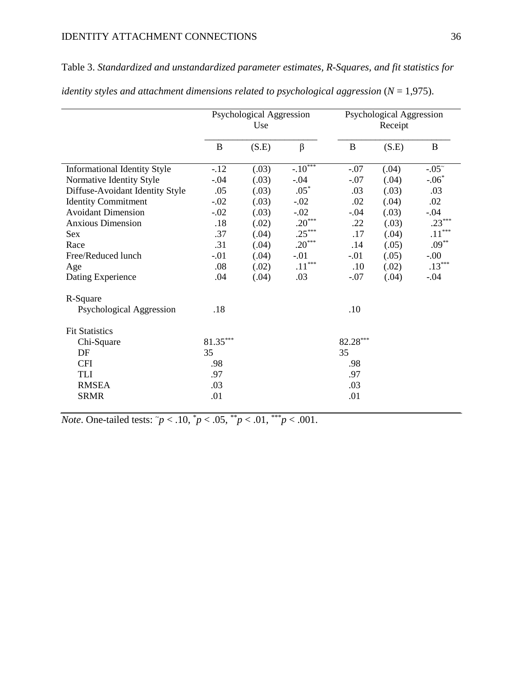Table 3. *Standardized and unstandardized parameter estimates, R-Squares, and fit statistics for* 

|                                     |            | <b>Psychological Aggression</b><br>Use |           | <b>Psychological Aggression</b><br>Receipt |       |                      |  |
|-------------------------------------|------------|----------------------------------------|-----------|--------------------------------------------|-------|----------------------|--|
|                                     | B          | (S.E)                                  | $\beta$   | $\bf{B}$                                   | (S.E) | $\bf{B}$             |  |
| <b>Informational Identity Style</b> | $-.12$     | (.03)                                  | $-.10***$ | $-.07$                                     | (.04) | $-.05~$              |  |
| Normative Identity Style            | $-.04$     | (.03)                                  | $-.04$    | $-.07$                                     | (.04) | $-.06*$              |  |
| Diffuse-Avoidant Identity Style     | .05        | (.03)                                  | $.05*$    | .03                                        | (.03) | .03                  |  |
| <b>Identity Commitment</b>          | $-.02$     | (.03)                                  | $-.02$    | .02                                        | (.04) | .02                  |  |
| <b>Avoidant Dimension</b>           | $-.02$     | (.03)                                  | $-.02$    | $-.04$                                     | (.03) | $-.04$               |  |
| <b>Anxious Dimension</b>            | .18        | (.02)                                  | $.20***$  | .22                                        | (.03) | $.23***$             |  |
| Sex                                 | .37        | (.04)                                  | $.25***$  | .17                                        | (.04) | $.11^{\ast\ast\ast}$ |  |
| Race                                | .31        | (.04)                                  | $.20***$  | .14                                        | (.05) | $.09***$             |  |
| Free/Reduced lunch                  | $-.01$     | (.04)                                  | $-.01$    | $-.01$                                     | (.05) | $-.00$               |  |
| Age                                 | .08        | (.02)                                  | $.11***$  | .10                                        | (.02) | $.13***$             |  |
| Dating Experience                   | .04        | (.04)                                  | .03       | $-.07$                                     | (.04) | $-.04$               |  |
| R-Square                            |            |                                        |           |                                            |       |                      |  |
| Psychological Aggression            | .18        |                                        |           | .10                                        |       |                      |  |
| <b>Fit Statistics</b>               |            |                                        |           |                                            |       |                      |  |
| Chi-Square                          | $81.35***$ |                                        |           | $82.28***$                                 |       |                      |  |
| DF                                  | 35         |                                        |           | 35                                         |       |                      |  |
| <b>CFI</b>                          | .98        |                                        |           | .98                                        |       |                      |  |
| <b>TLI</b>                          | .97        |                                        |           | .97                                        |       |                      |  |
| <b>RMSEA</b>                        | .03        |                                        |           | .03                                        |       |                      |  |
| <b>SRMR</b>                         | .01        |                                        |           | .01                                        |       |                      |  |

*identity styles and attachment dimensions related to psychological aggression* (*N* = 1,975).

*Note*. One-tailed tests:  $\tilde{p}$  < .10,  $\tilde{p}$  < .05,  $\tilde{p}$  < .01,  $\tilde{p}$  < .01.